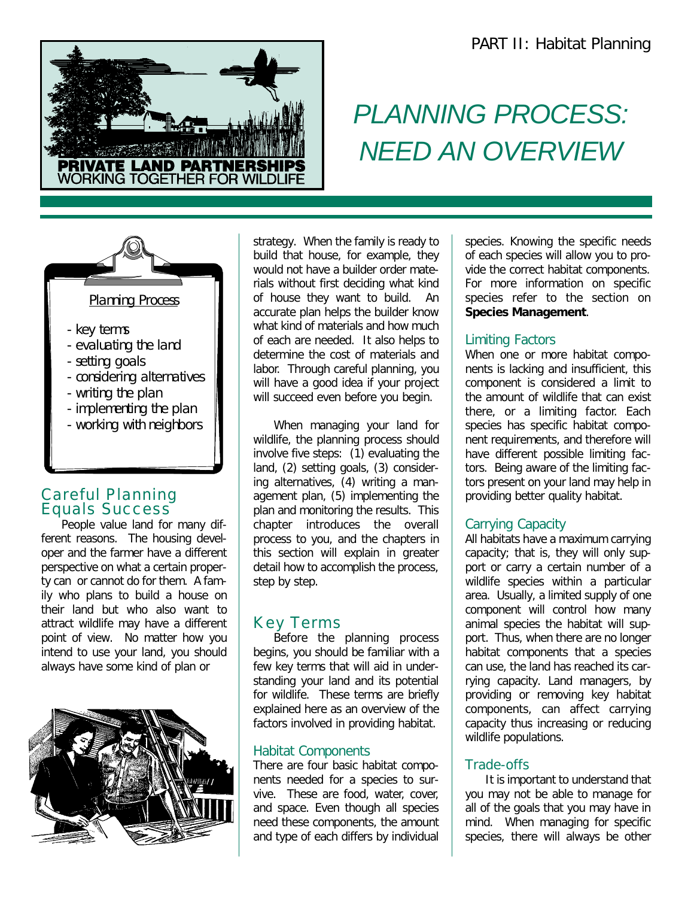

# *PLANNING PROCESS: NEED AN OVERVIEW*



#### Careful Planning Equals Success

People value land for many different reasons. The housing developer and the farmer have a different perspective on what a certain property can or cannot do for them. A family who plans to build a house on their land but who also want to attract wildlife may have a different point of view. No matter how you intend to use your land, you should always have some kind of plan or



strategy. When the family is ready to build that house, for example, they would not have a builder order materials without first deciding what kind of house they want to build. An accurate plan helps the builder know what kind of materials and how much of each are needed. It also helps to determine the cost of materials and labor. Through careful planning, you will have a good idea if your project will succeed even before you begin.

When managing your land for wildlife, the planning process should involve five steps: (1) evaluating the land, (2) setting goals, (3) considering alternatives, (4) writing a management plan, (5) implementing the plan and monitoring the results. This chapter introduces the overall process to you, and the chapters in this section will explain in greater detail how to accomplish the process, step by step.

## Key Terms

Before the planning process begins, you should be familiar with a few key terms that will aid in understanding your land and its potential for wildlife. These terms are briefly explained here as an overview of the factors involved in providing habitat.

#### Habitat Components

There are four basic habitat components needed for a species to survive. These are food, water, cover, and space. Even though all species need these components, the amount and type of each differs by individual

species. Knowing the specific needs of each species will allow you to provide the correct habitat components. For more information on specific species refer to the section on **Species Management**.

#### Limiting Factors

When one or more habitat components is lacking and insufficient, this component is considered a limit to the amount of wildlife that can exist there, or a limiting factor. Each species has specific habitat component requirements, and therefore will have different possible limiting factors. Being aware of the limiting factors present on your land may help in providing better quality habitat.

#### Carrying Capacity

All habitats have a maximum carrying capacity; that is, they will only support or carry a certain number of a wildlife species within a particular area. Usually, a limited supply of one component will control how many animal species the habitat will support. Thus, when there are no longer habitat components that a species can use, the land has reached its carrying capacity. Land managers, by providing or removing key habitat components, can affect carrying capacity thus increasing or reducing wildlife populations.

#### Trade-offs

It is important to understand that you may not be able to manage for all of the goals that you may have in mind. When managing for specific species, there will always be other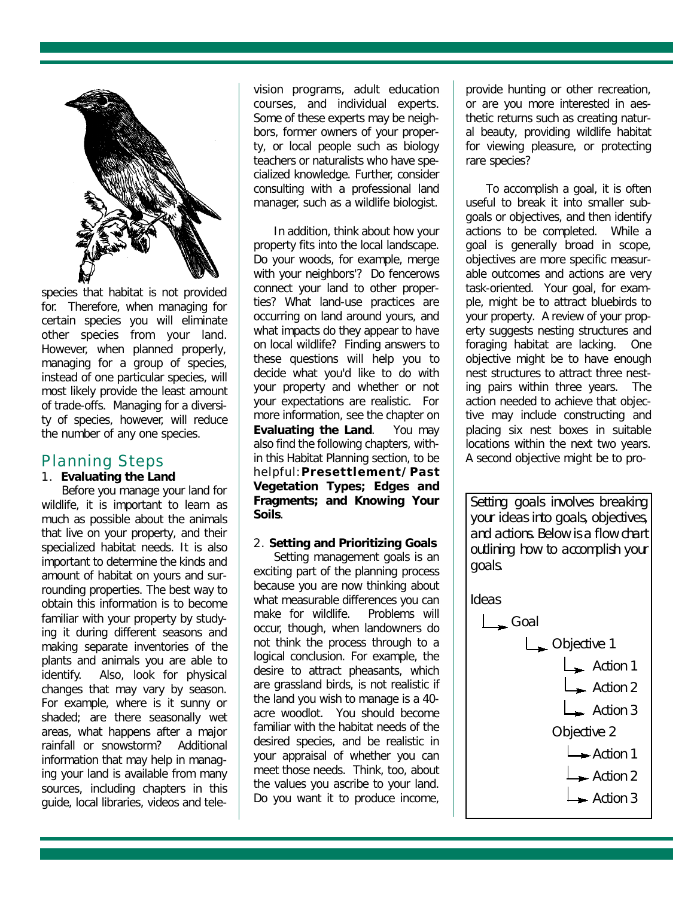

species that habitat is not provided for. Therefore, when managing for certain species you will eliminate other species from your land. However, when planned properly, managing for a group of species, instead of one particular species, will most likely provide the least amount of trade-offs. Managing for a diversity of species, however, will reduce the number of any one species.

#### Planning Steps

#### 1. **Evaluating the Land**

Before you manage your land for wildlife, it is important to learn as much as possible about the animals that live on your property, and their specialized habitat needs. It is also important to determine the kinds and amount of habitat on yours and surrounding properties. The best way to obtain this information is to become familiar with your property by studying it during different seasons and making separate inventories of the plants and animals you are able to identify. Also, look for physical changes that may vary by season. For example, where is it sunny or shaded; are there seasonally wet areas, what happens after a major rainfall or snowstorm? Additional information that may help in managing your land is available from many sources, including chapters in this guide, local libraries, videos and television programs, adult education courses, and individual experts. Some of these experts may be neighbors, former owners of your property, or local people such as biology teachers or naturalists who have specialized knowledge. Further, consider consulting with a professional land manager, such as a wildlife biologist.

In addition, think about how your property fits into the local landscape. Do your woods, for example, merge with your neighbors'? Do fencerows connect your land to other properties? What land-use practices are occurring on land around yours, and what impacts do they appear to have on local wildlife? Finding answers to these questions will help you to decide what you'd like to do with your property and whether or not your expectations are realistic. For more information, see the chapter on **Evaluating the Land**. You may also find the following chapters, within this Habitat Planning section, to be helpful:**Presettlement/Past Vegetation Types; Edges and Fragments; and Knowing Your Soils**.

#### 2. **Setting and Prioritizing Goals**

Setting management goals is an exciting part of the planning process because you are now thinking about what measurable differences you can make for wildlife. Problems will occur, though, when landowners do not think the process through to a logical conclusion. For example, the desire to attract pheasants, which are grassland birds, is not realistic if the land you wish to manage is a 40 acre woodlot. You should become familiar with the habitat needs of the desired species, and be realistic in your appraisal of whether you can meet those needs. Think, too, about the values you ascribe to your land. Do you want it to produce income, provide hunting or other recreation, or are you more interested in aesthetic returns such as creating natural beauty, providing wildlife habitat for viewing pleasure, or protecting rare species?

To accomplish a goal, it is often useful to break it into smaller subgoals or objectives, and then identify actions to be completed. While a goal is generally broad in scope, objectives are more specific measurable outcomes and actions are very task-oriented. Your goal, for example, might be to attract bluebirds to your property. A review of your property suggests nesting structures and foraging habitat are lacking. One objective might be to have enough nest structures to attract three nesting pairs within three years. The action needed to achieve that objective may include constructing and placing six nest boxes in suitable locations within the next two years. A second objective might be to pro-

Setting goals involves breaking your ideas into goals, objectives, and actions. Below is a flow chart outlining how to accomplish your goals.

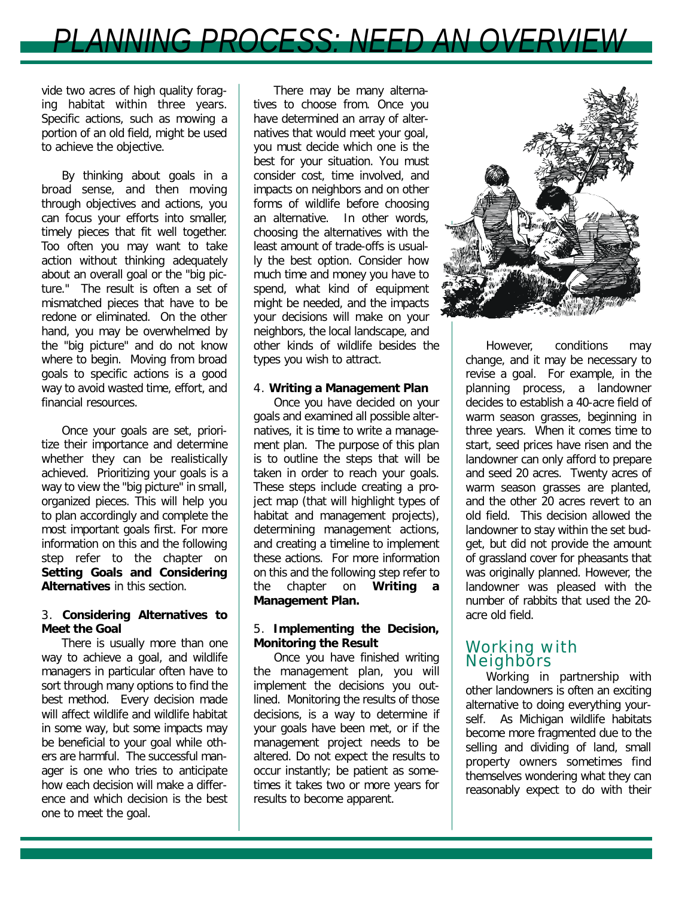

vide two acres of high quality foraging habitat within three years. Specific actions, such as mowing a portion of an old field, might be used to achieve the objective.

By thinking about goals in a broad sense, and then moving through objectives and actions, you can focus your efforts into smaller, timely pieces that fit well together. Too often you may want to take action without thinking adequately about an overall goal or the "big picture." The result is often a set of mismatched pieces that have to be redone or eliminated. On the other hand, you may be overwhelmed by the "big picture" and do not know where to begin. Moving from broad goals to specific actions is a good way to avoid wasted time, effort, and financial resources.

Once your goals are set, prioritize their importance and determine whether they can be realistically achieved. Prioritizing your goals is a way to view the "big picture" in small, organized pieces. This will help you to plan accordingly and complete the most important goals first. For more information on this and the following step refer to the chapter on **Setting Goals and Considering Alternatives** in this section.

#### 3. **Considering Alternatives to Meet the Goal**

There is usually more than one way to achieve a goal, and wildlife managers in particular often have to sort through many options to find the best method. Every decision made will affect wildlife and wildlife habitat in some way, but some impacts may be beneficial to your goal while others are harmful. The successful manager is one who tries to anticipate how each decision will make a difference and which decision is the best one to meet the goal.

There may be many alternatives to choose from. Once you have determined an array of alternatives that would meet your goal, you must decide which one is the best for your situation. You must consider cost, time involved, and impacts on neighbors and on other forms of wildlife before choosing an alternative. In other words, choosing the alternatives with the least amount of trade-offs is usually the best option. Consider how much time and money you have to spend, what kind of equipment might be needed, and the impacts your decisions will make on your neighbors, the local landscape, and other kinds of wildlife besides the types you wish to attract.

#### 4. **Writing a Management Plan**

Once you have decided on your goals and examined all possible alternatives, it is time to write a management plan. The purpose of this plan is to outline the steps that will be taken in order to reach your goals. These steps include creating a project map (that will highlight types of habitat and management projects), determining management actions, and creating a timeline to implement these actions. For more information on this and the following step refer to the chapter on **Writing a Management Plan.**

#### 5. **Implementing the Decision, Monitoring the Result**

Once you have finished writing the management plan, you will implement the decisions you outlined. Monitoring the results of those decisions, is a way to determine if your goals have been met, or if the management project needs to be altered. Do not expect the results to occur instantly; be patient as sometimes it takes two or more years for results to become apparent.



However, conditions may change, and it may be necessary to revise a goal. For example, in the planning process, a landowner decides to establish a 40-acre field of warm season grasses, beginning in three years. When it comes time to start, seed prices have risen and the landowner can only afford to prepare and seed 20 acres. Twenty acres of warm season grasses are planted, and the other 20 acres revert to an old field. This decision allowed the landowner to stay within the set budget, but did not provide the amount of grassland cover for pheasants that was originally planned. However, the landowner was pleased with the number of rabbits that used the 20 acre old field.

#### Working with **Neighbors**

Working in partnership with other landowners is often an exciting alternative to doing everything yourself. As Michigan wildlife habitats become more fragmented due to the selling and dividing of land, small property owners sometimes find themselves wondering what they can reasonably expect to do with their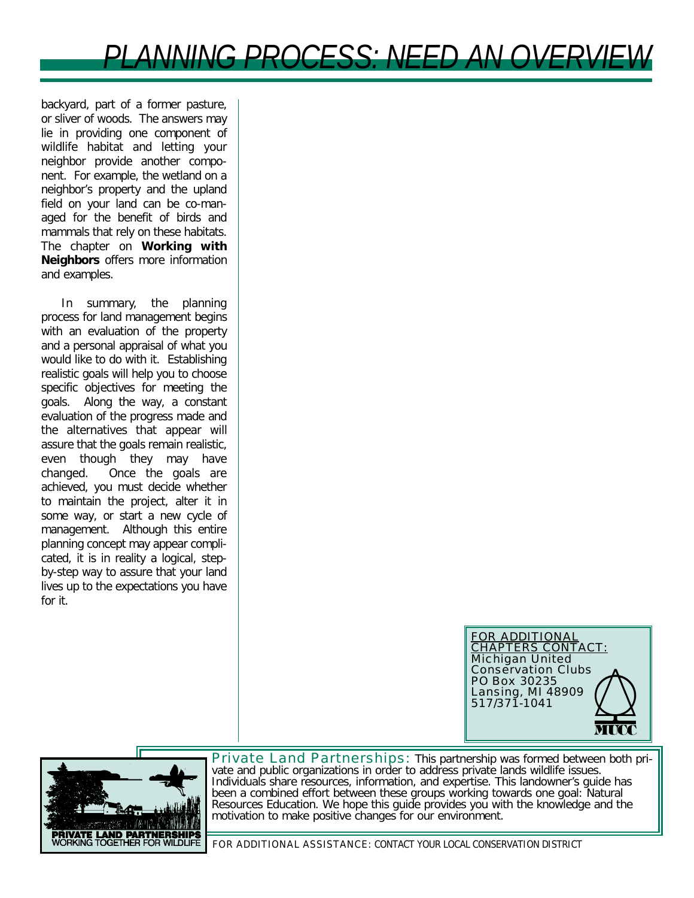*PLANNING PROCESS: NEED AN OVERVIEW*

backyard, part of a former pasture, or sliver of woods. The answers may lie in providing one component of wildlife habitat and letting your neighbor provide another component. For example, the wetland on a neighbor's property and the upland field on your land can be co-managed for the benefit of birds and mammals that rely on these habitats. The chapter on **Working with Neighbors** offers more information and examples.

In summary, the planning process for land management begins with an evaluation of the property and a personal appraisal of what you would like to do with it. Establishing realistic goals will help you to choose specific objectives for meeting the goals. Along the way, a constant evaluation of the progress made and the alternatives that appear will assure that the goals remain realistic, even though they may have changed. Once the goals are achieved, you must decide whether to maintain the project, alter it in some way, or start a new cycle of management. Although this entire planning concept may appear complicated, it is in reality a logical, stepby-step way to assure that your land lives up to the expectations you have for it.





Private Land Partnerships: This partnership was formed between both private and public organizations in order to address private lands wildlife issues. Individuals share resources, information, and expertise. This landowner's guide has been a combined effort between these groups working towards one goal: Natural Resources Education. We hope this guide provides you with the knowledge and the motivation to make positive changes for our environment.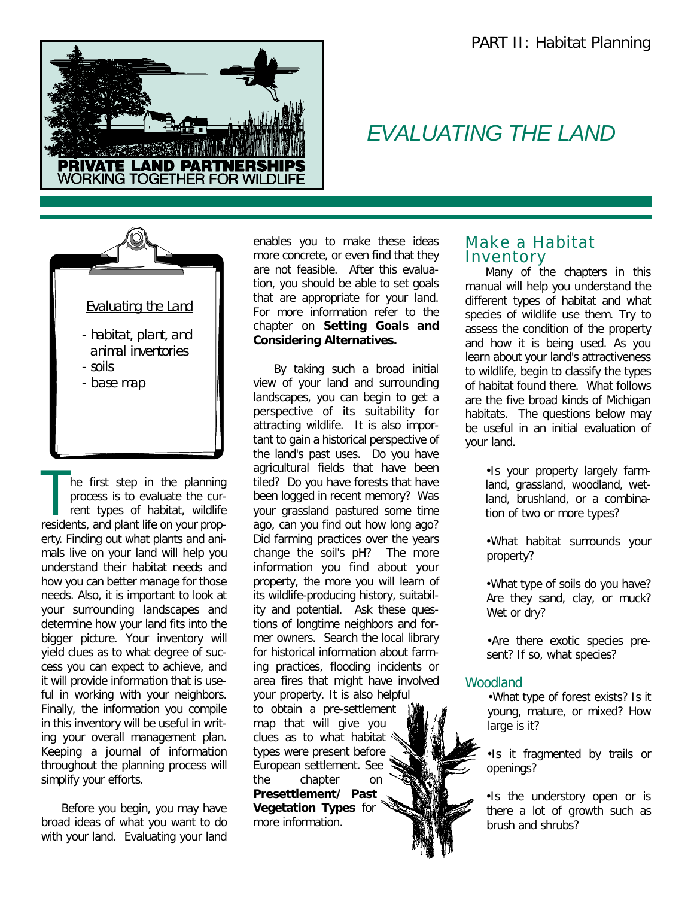

## *EVALUATING THE LAND*



The first step in the planning<br>process is to evaluate the cur-<br>rent types of habitat, wildlife<br>residents, and plant life on your prophe first step in the planning process is to evaluate the current types of habitat, wildlife erty. Finding out what plants and animals live on your land will help you understand their habitat needs and how you can better manage for those needs. Also, it is important to look at your surrounding landscapes and determine how your land fits into the bigger picture. Your inventory will yield clues as to what degree of success you can expect to achieve, and it will provide information that is useful in working with your neighbors. Finally, the information you compile in this inventory will be useful in writing your overall management plan. Keeping a journal of information throughout the planning process will simplify your efforts.

Before you begin, you may have broad ideas of what you want to do with your land. Evaluating your land enables you to make these ideas more concrete, or even find that they are not feasible. After this evaluation, you should be able to set goals that are appropriate for your land. For more information refer to the chapter on **Setting Goals and Considering Alternatives.**

By taking such a broad initial view of your land and surrounding landscapes, you can begin to get a perspective of its suitability for attracting wildlife. It is also important to gain a historical perspective of the land's past uses. Do you have agricultural fields that have been tiled? Do you have forests that have been logged in recent memory? Was your grassland pastured some time ago, can you find out how long ago? Did farming practices over the years change the soil's pH? The more information you find about your property, the more you will learn of its wildlife-producing history, suitability and potential. Ask these questions of longtime neighbors and former owners. Search the local library for historical information about farming practices, flooding incidents or area fires that might have involved your property. It is also helpful to obtain a pre-settlement map that will give you clues as to what habitat types were present before European settlement. See the chapter on **Presettlement/ Past Vegetation Types** for more information.

#### Make a Habitat **Inventory**

Many of the chapters in this manual will help you understand the different types of habitat and what species of wildlife use them. Try to assess the condition of the property and how it is being used. As you learn about your land's attractiveness to wildlife, begin to classify the types of habitat found there. What follows are the five broad kinds of Michigan habitats. The questions below may be useful in an initial evaluation of your land.

> •Is your property largely farmland, grassland, woodland, wetland, brushland, or a combination of two or more types?

> •What habitat surrounds your property?

> •What type of soils do you have? Are they sand, clay, or muck? Wet or dry?

•Are there exotic species present? If so, what species?

#### *Woodland*

•What type of forest exists? Is it young, mature, or mixed? How large is it?

•Is it fragmented by trails or openings?

•Is the understory open or is there a lot of growth such as brush and shrubs?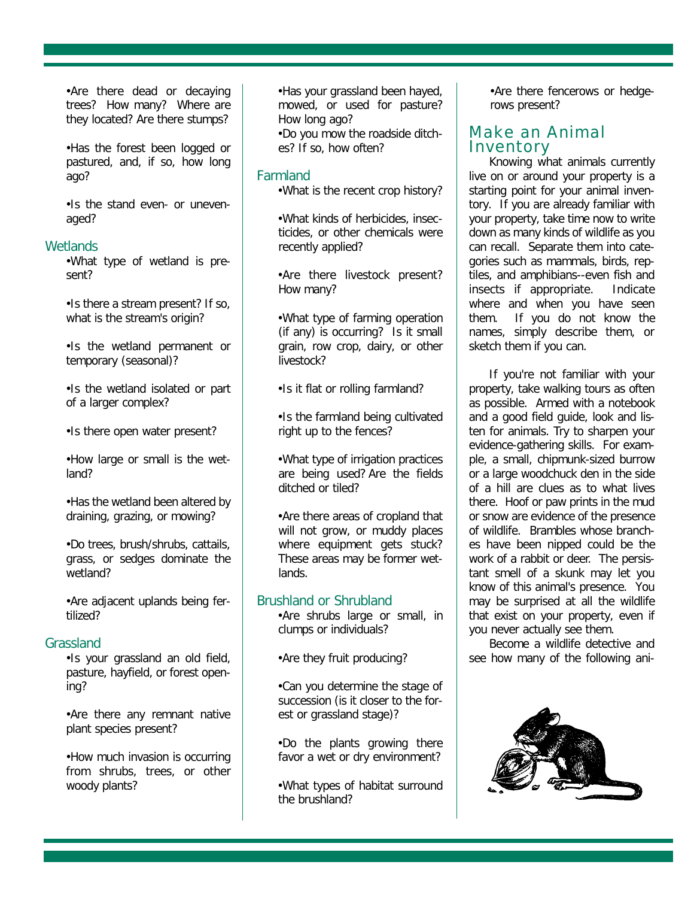•Are there dead or decaying trees? How many? Where are they located? Are there stumps?

•Has the forest been logged or pastured, and, if so, how long ago?

•Is the stand even- or unevenaged?

#### *Wetlands*

•What type of wetland is present?

•Is there a stream present? If so, what is the stream's origin?

•Is the wetland permanent or temporary (seasonal)?

•Is the wetland isolated or part of a larger complex?

•Is there open water present?

•How large or small is the wetland?

•Has the wetland been altered by draining, grazing, or mowing?

•Do trees, brush/shrubs, cattails, grass, or sedges dominate the wetland?

•Are adjacent uplands being fertilized?

#### *Grassland*

•Is your grassland an old field, pasture, hayfield, or forest opening?

•Are there any remnant native plant species present?

•How much invasion is occurring from shrubs, trees, or other woody plants?

•Has your grassland been hayed, mowed, or used for pasture? How long ago? •Do you mow the roadside ditches? If so, how often?

#### *Farmland*

•What is the recent crop history?

•What kinds of herbicides, insecticides, or other chemicals were recently applied?

•Are there livestock present? How many?

•What type of farming operation (if any) is occurring? Is it small grain, row crop, dairy, or other livestock?

•Is it flat or rolling farmland?

•Is the farmland being cultivated right up to the fences?

•What type of irrigation practices are being used? Are the fields ditched or tiled?

•Are there areas of cropland that will not grow, or muddy places where equipment gets stuck? These areas may be former wetlands.

#### *Brushland or Shrubland*

•Are shrubs large or small, in clumps or individuals?

•Are they fruit producing?

•Can you determine the stage of succession (is it closer to the forest or grassland stage)?

•Do the plants growing there favor a wet or dry environment?

•What types of habitat surround the brushland?

•Are there fencerows or hedgerows present?

#### Make an Animal Inventory

Knowing what animals currently live on or around your property is a starting point for your animal inventory. If you are already familiar with your property, take time now to write down as many kinds of wildlife as you can recall. Separate them into categories such as mammals, birds, reptiles, and amphibians--even fish and insects if appropriate. Indicate where and when you have seen them. If you do not know the names, simply describe them, or sketch them if you can.

If you're not familiar with your property, take walking tours as often as possible. Armed with a notebook and a good field guide, look and listen for animals. Try to sharpen your evidence-gathering skills. For example, a small, chipmunk-sized burrow or a large woodchuck den in the side of a hill are clues as to what lives there. Hoof or paw prints in the mud or snow are evidence of the presence of wildlife. Brambles whose branches have been nipped could be the work of a rabbit or deer. The persistant smell of a skunk may let you know of this animal's presence. You may be surprised at all the wildlife that exist on your property, even if you never actually see them.

Become a wildlife detective and see how many of the following ani-

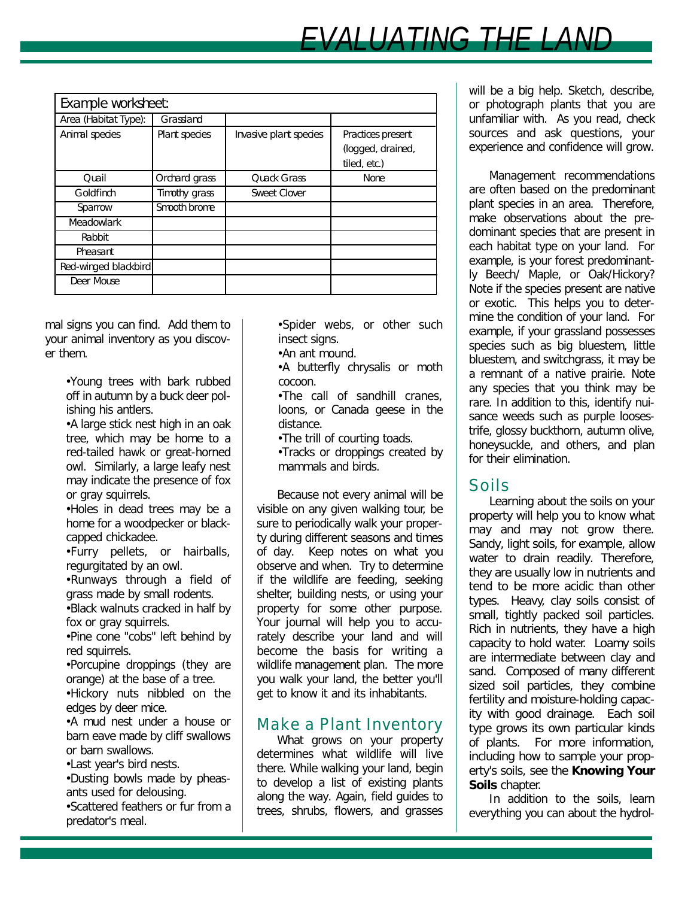| Example worksheet:   |               |                        |                                                        |  |
|----------------------|---------------|------------------------|--------------------------------------------------------|--|
| Area (Habitat Type): | Grassland     |                        |                                                        |  |
| Animal species       | Plant species | Invasive plant species | Practices present<br>(logged, drained,<br>tiled, etc.) |  |
| Ouail                | Orchard grass | Quack Grass            | None                                                   |  |
| Goldfinch            | Timothy grass | Sweet Clover           |                                                        |  |
| Sparrow              | Smooth brome  |                        |                                                        |  |
| Meadowlark           |               |                        |                                                        |  |
| Rabbit               |               |                        |                                                        |  |
| Pheasant             |               |                        |                                                        |  |
| Red-winged blackbird |               |                        |                                                        |  |
| Deer Mouse           |               |                        |                                                        |  |

mal signs you can find. Add them to your animal inventory as you discover them.

> •Young trees with bark rubbed off in autumn by a buck deer polishing his antlers.

> •A large stick nest high in an oak tree, which may be home to a red-tailed hawk or great-horned owl. Similarly, a large leafy nest may indicate the presence of fox or gray squirrels.

> •Holes in dead trees may be a home for a woodpecker or blackcapped chickadee.

> •Furry pellets, or hairballs, regurgitated by an owl.

> •Runways through a field of grass made by small rodents. •Black walnuts cracked in half by fox or gray squirrels.

> •Pine cone "cobs" left behind by red squirrels.

> •Porcupine droppings (they are orange) at the base of a tree. •Hickory nuts nibbled on the

> edges by deer mice. •A mud nest under a house or

> barn eave made by cliff swallows or barn swallows.

•Last year's bird nests.

•Dusting bowls made by pheasants used for delousing.

•Scattered feathers or fur from a predator's meal.

•Spider webs, or other such insect signs.

•An ant mound.

•A butterfly chrysalis or moth cocoon.

•The call of sandhill cranes, loons, or Canada geese in the distance.

•The trill of courting toads.

•Tracks or droppings created by mammals and birds.

Because not every animal will be visible on any given walking tour, be sure to periodically walk your property during different seasons and times of day. Keep notes on what you observe and when. Try to determine if the wildlife are feeding, seeking shelter, building nests, or using your property for some other purpose. Your journal will help you to accurately describe your land and will become the basis for writing a wildlife management plan. The more you walk your land, the better you'll get to know it and its inhabitants.

## Make a Plant Inventory

What grows on your property determines what wildlife will live there. While walking your land, begin to develop a list of existing plants along the way. Again, field guides to trees, shrubs, flowers, and grasses will be a big help. Sketch, describe, or photograph plants that you are unfamiliar with. As you read, check sources and ask questions, your experience and confidence will grow.

Management recommendations are often based on the predominant plant species in an area. Therefore, make observations about the predominant species that are present in each habitat type on your land. For example, is your forest predominantly Beech/ Maple, or Oak/Hickory? Note if the species present are native or exotic. This helps you to determine the condition of your land. For example, if your grassland possesses species such as big bluestem, little bluestem, and switchgrass, it may be a remnant of a native prairie. Note any species that you think may be rare. In addition to this, identify nuisance weeds such as purple loosestrife, glossy buckthorn, autumn olive, honeysuckle, and others, and plan for their elimination.

## Soils

Learning about the soils on your property will help you to know what may and may not grow there. Sandy, light soils, for example, allow water to drain readily. Therefore, they are usually low in nutrients and tend to be more acidic than other types. Heavy, clay soils consist of small, tightly packed soil particles. Rich in nutrients, they have a high capacity to hold water. Loamy soils are intermediate between clay and sand. Composed of many different sized soil particles, they combine fertility and moisture-holding capacity with good drainage. Each soil type grows its own particular kinds of plants. For more information, including how to sample your property's soils, see the **Knowing Your Soils** chapter.

In addition to the soils, learn everything you can about the hydrol-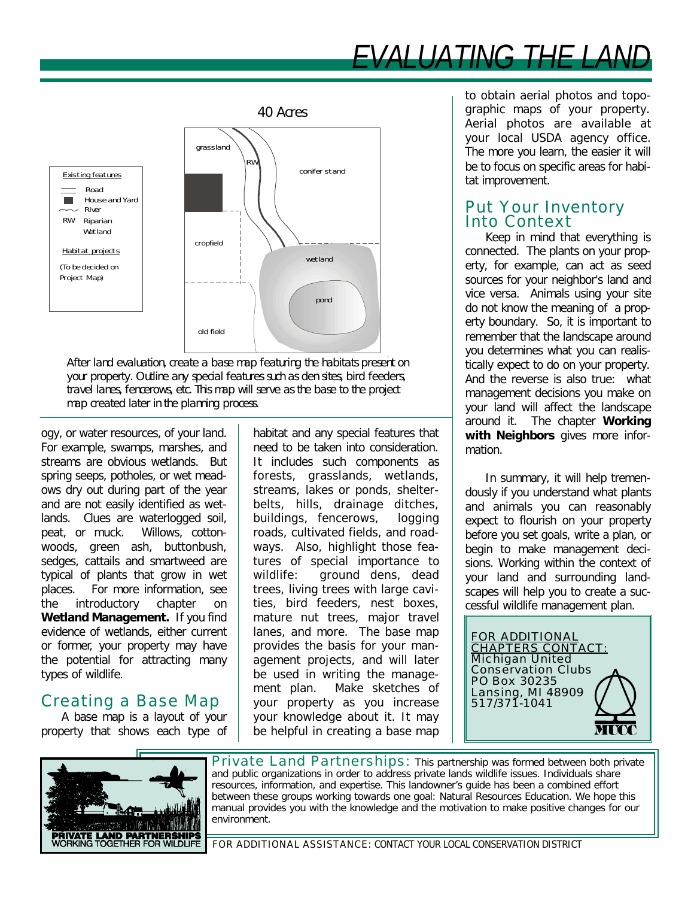# *EVALUATING THE LAND*



after a major map rodit ing the name to p your property. Outline any special features such as den sites, bird feeders, travel lanes, fencerows, etc. This map will serve as the base to the project map created later in the planning process. After land evaluation, create a base map featuring the habitats present on

ogy, or water resources, of your land. For example, swamps, marshes, and streams are obvious wetlands. But spring seeps, potholes, or wet meadows dry out during part of the year and are not easily identified as wetlands. Clues are waterlogged soil, peat, or muck. Willows, cottonwoods, green ash, buttonbush, sedges, cattails and smartweed are typical of plants that grow in wet places. For more information, see the introductory chapter on **Wetland Management.** If you find evidence of wetlands, either current or former, your property may have the potential for attracting many types of wildlife.

## Creating a Base Map

A base map is a layout of your property that shows each type of habitat and any special features that need to be taken into consideration. It includes such components as forests, grasslands, wetlands, streams, lakes or ponds, shelterbelts, hills, drainage ditches, buildings, fencerows, logging roads, cultivated fields, and roadways. Also, highlight those features of special importance to wildlife: ground dens, dead trees, living trees with large cavities, bird feeders, nest boxes, mature nut trees, major travel lanes, and more. The base map provides the basis for your management projects, and will later be used in writing the management plan. Make sketches of your property as you increase your knowledge about it. It may be helpful in creating a base map

to obtain aerial photos and topographic maps of your property. Aerial photos are available at your local USDA agency office. The more you learn, the easier it will be to focus on specific areas for habitat improvement.

#### Put Your Inventory Into Context

Keep in mind that everything is connected. The plants on your property, for example, can act as seed sources for your neighbor's land and vice versa. Animals using your site do not know the meaning of a property boundary. So, it is important to remember that the landscape around you determines what you can realistically expect to do on your property. And the reverse is also true: what management decisions you make on your land will affect the landscape around it. The chapter **Working with Neighbors** gives more information.

In summary, it will help tremendously if you understand what plants and animals you can reasonably expect to flourish on your property before you set goals, write a plan, or begin to make management decisions. Working within the context of your land and surrounding landscapes will help you to create a successful wildlife management plan.

FOR ADDITIONAL CHAPTERS CONTACT: Michigan United Conservation Clubs PO Box 30235 Lansing, MI 48909 517/371-1041



Private Land Partnerships: This partnership was formed between both private and public organizations in order to address private lands wildlife issues. Individuals share resources, information, and expertise. This landowner's guide has been a combined effort between these groups working towards one goal: Natural Resources Education. We hope this manual provides you with the knowledge and the motivation to make positive changes for our environment.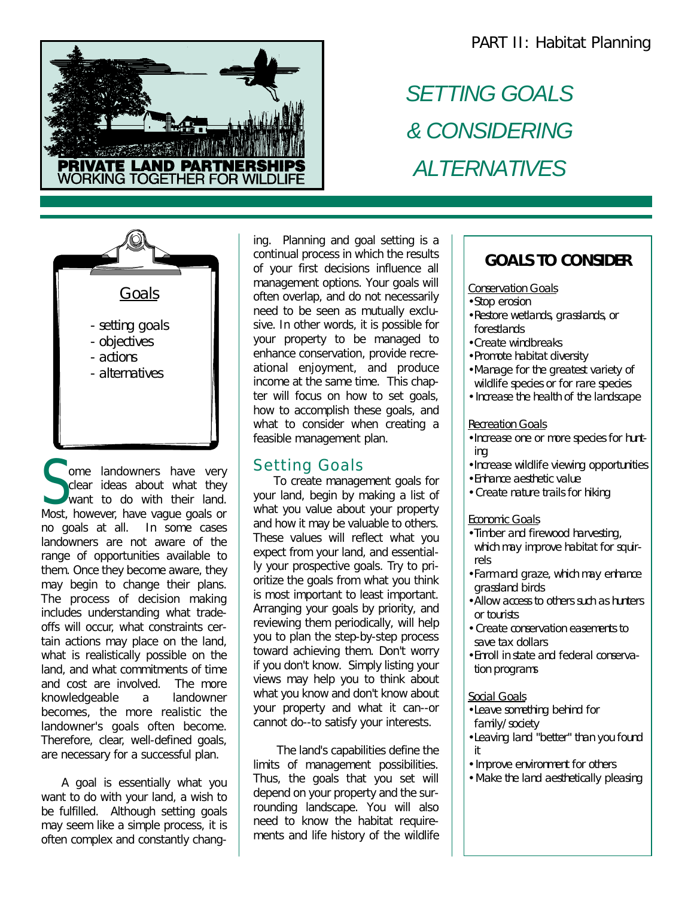

# *SETTING GOALS & CONSIDERING ALTERNATIVES*



Some landowners have very<br>clear ideas about what they<br>want to do with their land. ome landowners have very clear ideas about what they Most, however, have vague goals or no goals at all. In some cases landowners are not aware of the range of opportunities available to them. Once they become aware, they may begin to change their plans. The process of decision making includes understanding what tradeoffs will occur, what constraints certain actions may place on the land, what is realistically possible on the land, and what commitments of time and cost are involved. The more knowledgeable a landowner becomes, the more realistic the landowner's goals often become. Therefore, clear, well-defined goals, are necessary for a successful plan.

A goal is essentially what you want to do with your land, a wish to be fulfilled. Although setting goals may seem like a simple process, it is often complex and constantly changing. Planning and goal setting is a continual process in which the results of your first decisions influence all management options. Your goals will often overlap, and do not necessarily need to be seen as mutually exclusive. In other words, it is possible for your property to be managed to enhance conservation, provide recreational enjoyment, and produce income at the same time. This chapter will focus on how to set goals, how to accomplish these goals, and what to consider when creating a feasible management plan.

### Setting Goals

To create management goals for your land, begin by making a list of what you value about your property and how it may be valuable to others. These values will reflect what you expect from your land, and essentially your prospective goals. Try to prioritize the goals from what you think is most important to least important. Arranging your goals by priority, and reviewing them periodically, will help you to plan the step-by-step process toward achieving them. Don't worry if you don't know. Simply listing your views may help you to think about what you know and don't know about your property and what it can--or cannot do--to satisfy your interests.

The land's capabilities define the limits of management possibilities. Thus, the goals that you set will depend on your property and the surrounding landscape. You will also need to know the habitat requirements and life history of the wildlife

## **GOALS TO CONSIDER**

#### **Conservation Goals**

- Stop erosion
- Restore wetlands, grasslands, or forestlands
- Create windbreaks
- Promote habitat diversity
- Manage for the greatest variety of wildlife species or for rare species
- Increase the health of the landscape

#### Recreation Goals

- •Increase one or more species for hunting
- •Increase wildlife viewing opportunities
- Enhance aesthetic value
- Create nature trails for hiking

#### Economic Goals

- Timber and firewood harvesting, which may improve habitat for squirrels
- Farm and graze, which may enhance grassland birds
- Allow access to others such as hunters or tourists
- Create conservation easements to save tax dollars
- Enroll in state and federal conservation programs

#### Social Goals

- •Leave something behind for family/society
- •Leaving land "better" than you found it
- Improve environment for others
- Make the land aesthetically pleasing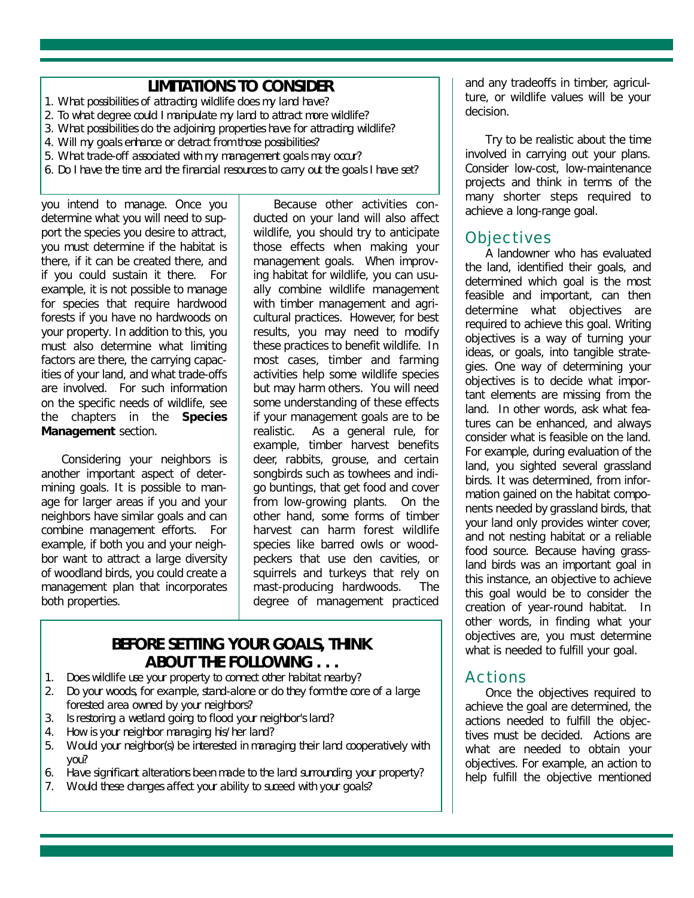### **LIMITATIONS TO CONSIDER**

- 1. What possibilities of attracting wildlife does my land have?
- 2. To what degree could I manipulate my land to attract more wildlife?
- 3. What possibilities do the adjoining properties have for attracting wildlife?
- 4. Will my goals enhance or detract from those possibilities?
- 5. What trade-off associated with my management goals may occur?
- 6. Do I have the time and the financial resources to carry out the goals I have set?

you intend to manage. Once you determine what you will need to support the species you desire to attract, you must determine if the habitat is there, if it can be created there, and if you could sustain it there. For example, it is not possible to manage for species that require hardwood forests if you have no hardwoods on your property. In addition to this, you must also determine what limiting factors are there, the carrying capacities of your land, and what trade-offs are involved. For such information on the specific needs of wildlife, see the chapters in the **Species Management** section.

Considering your neighbors is another important aspect of determining goals. It is possible to manage for larger areas if you and your neighbors have similar goals and can combine management efforts. For example, if both you and your neighbor want to attract a large diversity of woodland birds, you could create a management plan that incorporates both properties.

Because other activities conducted on your land will also affect wildlife, you should try to anticipate those effects when making your management goals. When improving habitat for wildlife, you can usually combine wildlife management with timber management and agricultural practices. However, for best results, you may need to modify these practices to benefit wildlife. In most cases, timber and farming activities help some wildlife species but may harm others. You will need some understanding of these effects if your management goals are to be realistic. As a general rule, for example, timber harvest benefits deer, rabbits, grouse, and certain songbirds such as towhees and indigo buntings, that get food and cover from low-growing plants. On the other hand, some forms of timber harvest can harm forest wildlife species like barred owls or woodpeckers that use den cavities, or squirrels and turkeys that rely on mast-producing hardwoods. The degree of management practiced

## **BEFORE SETTING YOUR GOALS, THINK ABOUT THE FOLLOWING . . .**

- 1. Does wildlife use your property to connect other habitat nearby?
- 2. Do your woods, for example, stand-alone or do they form the core of a large forested area owned by your neighbors?
- 3. Is restoring a wetland going to flood your neighbor's land?
- 4. How is your neighbor managing his/her land?
- 5. Would your neighbor(s) be interested in managing their land cooperatively with you?
- 6. Have significant alterations been made to the land surrounding your property?
- 7. Would these changes affect your ability to suceed with your goals?

and any tradeoffs in timber, agriculture, or wildlife values will be your decision.

Try to be realistic about the time involved in carrying out your plans. Consider low-cost, low-maintenance projects and think in terms of the many shorter steps required to achieve a long-range goal.

### **Objectives**

A landowner who has evaluated the land, identified their goals, and determined which goal is the most feasible and important, can then determine what objectives are required to achieve this goal. Writing objectives is a way of turning your ideas, or goals, into tangible strategies. One way of determining your objectives is to decide what important elements are missing from the land. In other words, ask what features can be enhanced, and always consider what is feasible on the land. For example, during evaluation of the land, you sighted several grassland birds. It was determined, from information gained on the habitat components needed by grassland birds, that your land only provides winter cover, and not nesting habitat or a reliable food source. Because having grassland birds was an important goal in this instance, an objective to achieve this goal would be to consider the creation of year-round habitat. In other words, in finding what your objectives are, you must determine what is needed to fulfill your goal.

#### Actions

Once the objectives required to achieve the goal are determined, the actions needed to fulfill the objectives must be decided. Actions are what are needed to obtain your objectives. For example, an action to help fulfill the objective mentioned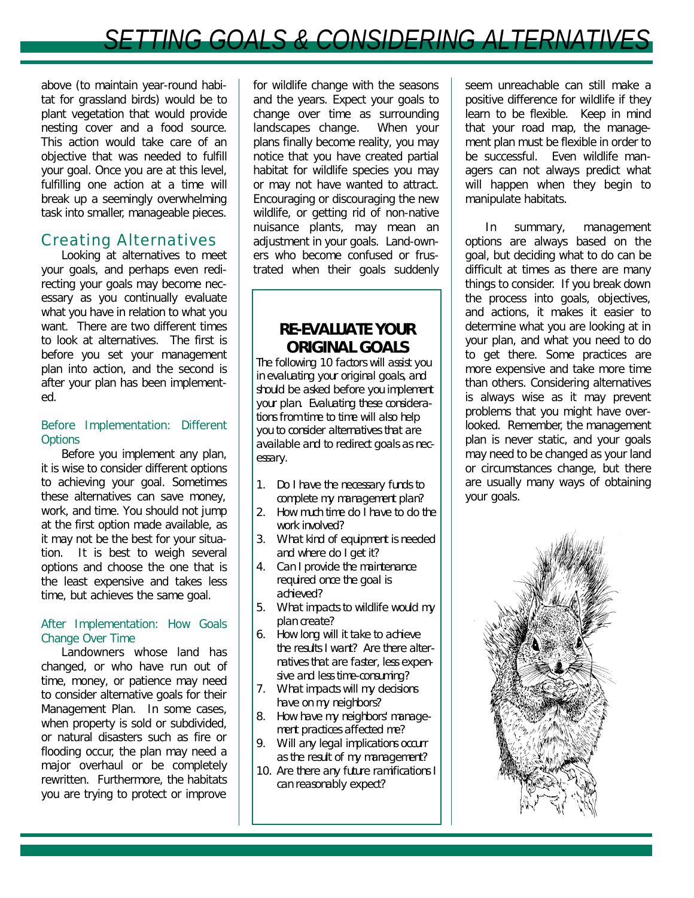## **SETTING GOALS & CONSIDERING ALTERNATIV**

above (to maintain year-round habitat for grassland birds) would be to plant vegetation that would provide nesting cover and a food source. This action would take care of an objective that was needed to fulfill your goal. Once you are at this level, fulfilling one action at a time will break up a seemingly overwhelming task into smaller, manageable pieces.

### Creating Alternatives

Looking at alternatives to meet your goals, and perhaps even redirecting your goals may become necessary as you continually evaluate what you have in relation to what you want. There are two different times to look at alternatives. The first is before you set your management plan into action, and the second is after your plan has been implemented.

#### *Before Implementation: Different Options*

Before you implement any plan, it is wise to consider different options to achieving your goal. Sometimes these alternatives can save money, work, and time. You should not jump at the first option made available, as it may not be the best for your situation. It is best to weigh several options and choose the one that is the least expensive and takes less time, but achieves the same goal.

#### *After Implementation: How Goals Change Over Time*

Landowners whose land has changed, or who have run out of time, money, or patience may need to consider alternative goals for their Management Plan. In some cases, when property is sold or subdivided, or natural disasters such as fire or flooding occur, the plan may need a major overhaul or be completely rewritten. Furthermore, the habitats you are trying to protect or improve

for wildlife change with the seasons and the years. Expect your goals to change over time as surrounding landscapes change. When your plans finally become reality, you may notice that you have created partial habitat for wildlife species you may or may not have wanted to attract. Encouraging or discouraging the new wildlife, or getting rid of non-native nuisance plants, may mean an adjustment in your goals. Land-owners who become confused or frustrated when their goals suddenly

## **RE-EVALUATE YOUR ORIGINAL GOALS**

The following 10 factors will assist you in evaluating your original goals, and should be asked before you implement your plan. Evaluating these considerations from time to time will also help you to consider alternatives that are available and to redirect goals as necessary.

- 1. Do I have the necessary funds to complete my management plan?
- 2. How much time do I have to do the work involved?
- 3. What kind of equipment is needed and where do I get it?
- 4. Can I provide the maintenance required once the goal is achieved?
- 5. What impacts to wildlife would my plan create?
- 6. How long will it take to achieve the results I want? Are there alternatives that are faster, less expensive and less time-consuming?
- 7. What impacts will my decisions have on my neighbors?
- 8. How have my neighbors' management practices affected me?
- 9. Will any legal implications occurr as the result of my management?
- 10. Are there any future ramifications I can reasonably expect?

seem unreachable can still make a positive difference for wildlife if they learn to be flexible. Keep in mind that your road map, the management plan must be flexible in order to be successful. Even wildlife managers can not always predict what will happen when they begin to manipulate habitats.

In summary, management options are always based on the goal, but deciding what to do can be difficult at times as there are many things to consider. If you break down the process into goals, objectives, and actions, it makes it easier to determine what you are looking at in your plan, and what you need to do to get there. Some practices are more expensive and take more time than others. Considering alternatives is always wise as it may prevent problems that you might have overlooked. Remember, the management plan is never static, and your goals may need to be changed as your land or circumstances change, but there are usually many ways of obtaining your goals.

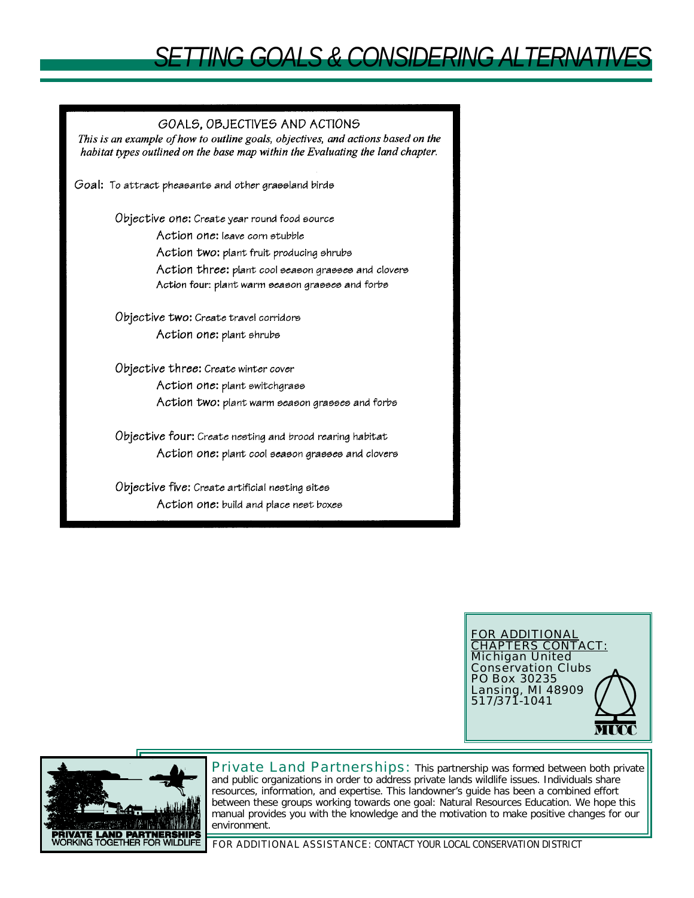## *SETTING GOALS & CONSIDERING ALTERNATIVES*

#### GOALS, OBJECTIVES AND ACTIONS

This is an example of how to outline goals, objectives, and actions based on the habitat types outlined on the base map within the Evaluating the land chapter.

Goal: To attract pheasants and other grassland birds

Objective one: Create year round food source Action one: leave corn stubble Action two: plant fruit producing shrubs Action three: plant cool season grasses and clovers Action four: plant warm season grasses and forbs

Objective two: Create travel corridors Action one: plant shrubs

Objective three: Create winter cover Action one: plant switchgrass Action two: plant warm season grasses and forbs

Objective four: Create nesting and brood rearing habitat Action one: plant cool season grasses and clovers

Objective five: Create artificial nesting sites Action one: build and place nest boxes





Private Land Partnerships: This partnership was formed between both private and public organizations in order to address private lands wildlife issues. Individuals share resources, information, and expertise. This landowner's guide has been a combined effort between these groups working towards one goal: Natural Resources Education. We hope this manual provides you with the knowledge and the motivation to make positive changes for our environment.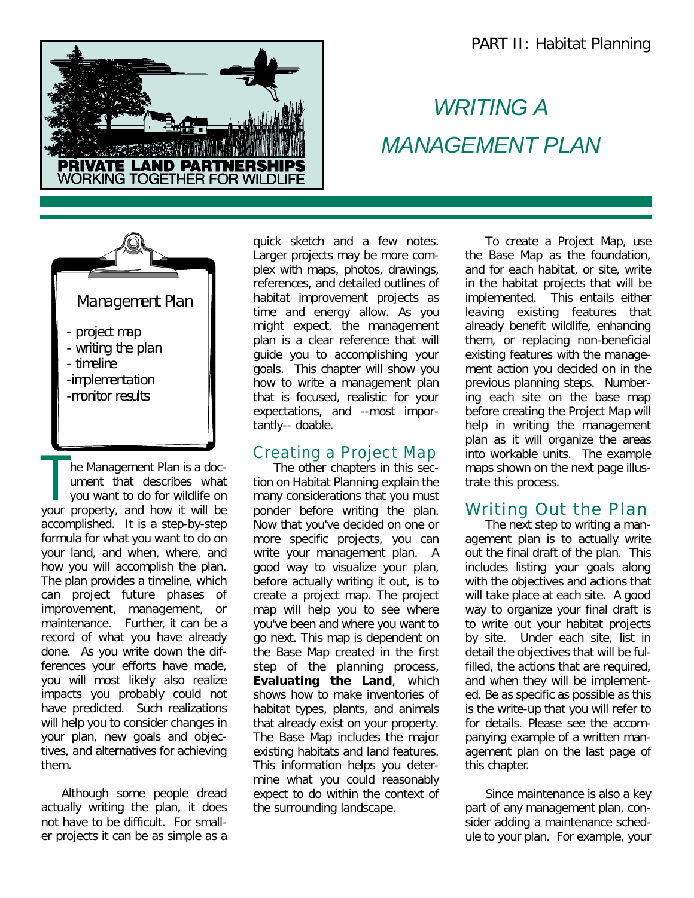

## *WRITING A MANAGEMENT PLAN*



The Management Plan is a document that describes what you want to do for wildlife on your property, and how it will be he Management Plan is a document that describes what you want to do for wildlife on accomplished. It is a step-by-step formula for what you want to do on your land, and when, where, and how you will accomplish the plan. The plan provides a timeline, which can project future phases of improvement, management, or maintenance. Further, it can be a record of what you have already done. As you write down the differences your efforts have made, you will most likely also realize impacts you probably could not have predicted. Such realizations will help you to consider changes in your plan, new goals and objectives, and alternatives for achieving them.

Although some people dread actually writing the plan, it does not have to be difficult. For smaller projects it can be as simple as a

quick sketch and a few notes. Larger projects may be more complex with maps, photos, drawings, references, and detailed outlines of habitat improvement projects as time and energy allow. As you might expect, the management plan is a clear reference that will guide you to accomplishing your goals. This chapter will show you how to write a management plan that is focused, realistic for your expectations, and --most importantly-- doable.

### Creating a Project Map

The other chapters in this section on Habitat Planning explain the many considerations that you must ponder before writing the plan. Now that you've decided on one or more specific projects, you can write your management plan. A good way to visualize your plan, before actually writing it out, is to create a project map. The project map will help you to see where you've been and where you want to go next. This map is dependent on the Base Map created in the first step of the planning process, **Evaluating the Land**, which shows how to make inventories of habitat types, plants, and animals that already exist on your property. The Base Map includes the major existing habitats and land features. This information helps you determine what you could reasonably expect to do within the context of the surrounding landscape.

To create a Project Map, use the Base Map as the foundation, and for each habitat, or site, write in the habitat projects that will be implemented. This entails either leaving existing features that already benefit wildlife, enhancing them, or replacing non-beneficial existing features with the management action you decided on in the previous planning steps. Numbering each site on the base map before creating the Project Map will help in writing the management plan as it will organize the areas into workable units. The example maps shown on the next page illustrate this process.

## Writing Out the Plan

The next step to writing a management plan is to actually write out the final draft of the plan. This includes listing your goals along with the objectives and actions that will take place at each site. A good way to organize your final draft is to write out your habitat projects by site. Under each site, list in detail the objectives that will be fulfilled, the actions that are required, and when they will be implemented. Be as specific as possible as this is the write-up that you will refer to for details. Please see the accompanying example of a written management plan on the last page of this chapter.

Since maintenance is also a key part of any management plan, consider adding a maintenance schedule to your plan. For example, your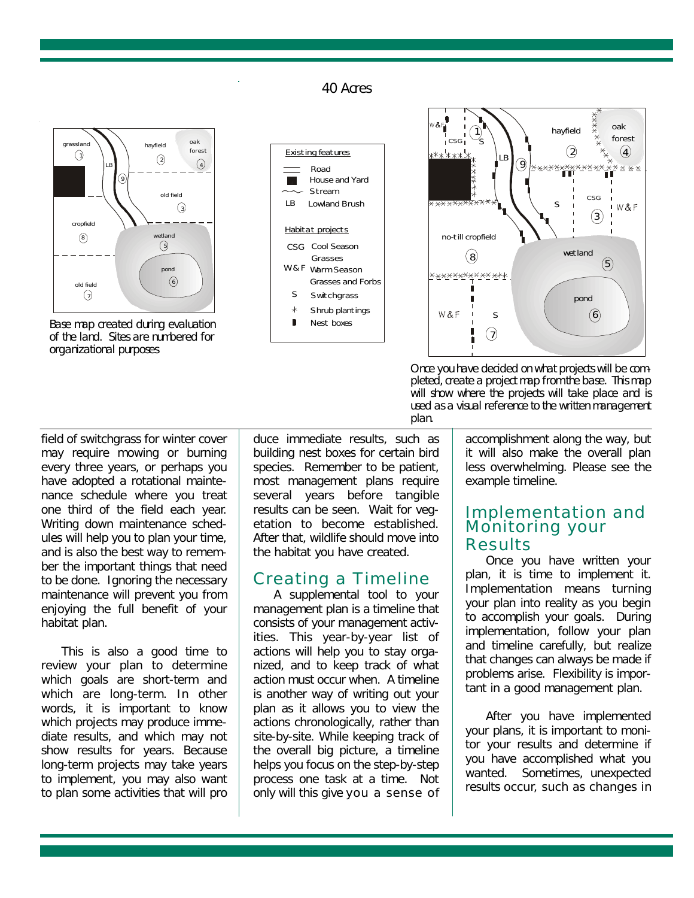40 Acres



Base map created during evaluation of the land. Sites are numbered for organizational purposes





Once you have decided on what project s will be completed, pleted, create a project map from the base. This map will show where the projects will take place and is used as a visual reference to the written management Once you have decided on what projects will be complan.

field of switchgrass for winter cover may require mowing or burning every three years, or perhaps you have adopted a rotational maintenance schedule where you treat one third of the field each year. Writing down maintenance schedules will help you to plan your time, and is also the best way to remember the important things that need to be done. Ignoring the necessary maintenance will prevent you from enjoying the full benefit of your habitat plan.

This is also a good time to review your plan to determine which goals are short-term and which are long-term. In other words, it is important to know which projects may produce immediate results, and which may not show results for years. Because long-term projects may take years to implement, you may also want to plan some activities that will pro duce immediate results, such as building nest boxes for certain bird species. Remember to be patient, most management plans require several years before tangible results can be seen. Wait for vegetation to become established. After that, wildlife should move into the habitat you have created.

#### Creating a Timeline

A supplemental tool to your management plan is a timeline that consists of your management activities. This year-by-year list of actions will help you to stay organized, and to keep track of what action must occur when. A timeline is another way of writing out your plan as it allows you to view the actions chronologically, rather than site-by-site. While keeping track of the overall big picture, a timeline helps you focus on the step-by-step process one task at a time. Not only will this give you a sense of accomplishment along the way, but it will also make the overall plan less overwhelming. Please see the example timeline.

#### Implementation and Monitoring your **Results**

Once you have written your plan, it is time to implement it. Implementation means turning your plan into reality as you begin to accomplish your goals. During implementation, follow your plan and timeline carefully, but realize that changes can always be made if problems arise. Flexibility is important in a good management plan.

After you have implemented your plans, it is important to monitor your results and determine if you have accomplished what you wanted. Sometimes, unexpected results occur, such as changes in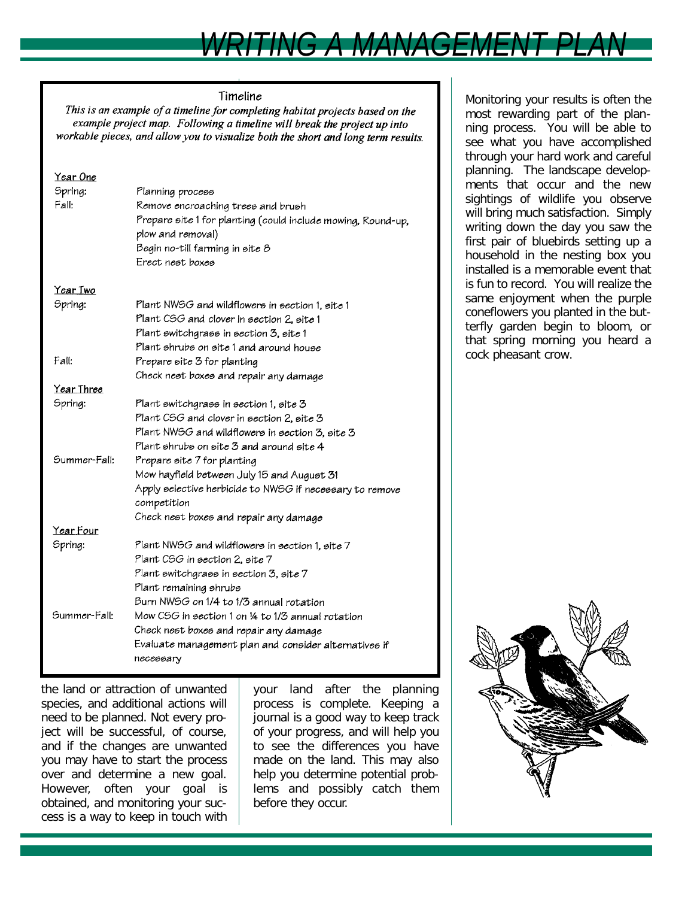# *WRITING A MANAGEMENT PLAN*

#### Timeline

This is an example of a timeline for completing habitat projects based on the example project map. Following a timeline will break the project up into workable pieces, and allow you to visualize both the short and long term results.

| <u>Year One</u><br>Spring:<br>Fall: | Planning process<br>Remove encroaching trees and brush<br>Prepare site 1 for planting (could include mowing, Round-up,<br>plow and removal)<br>Begin no-till farming in site 8<br>Erect nest boxes |
|-------------------------------------|----------------------------------------------------------------------------------------------------------------------------------------------------------------------------------------------------|
| Year Two                            |                                                                                                                                                                                                    |
| Spring:                             | Plant NWSG and wildflowers in section 1, site 1<br>Plant CSG and clover in section 2, site 1<br>Plant switchgrass in section 3, site 1<br>Plant shrubs on site 1 and around house                  |
| Fall:                               | Prepare site 3 for planting                                                                                                                                                                        |
|                                     | Check nest boxes and repair any damage                                                                                                                                                             |
| Year Three                          |                                                                                                                                                                                                    |
| Spring:                             | Plant switchgrass in section 1, site 3<br>Plant CSG and clover in section 2, site 3<br>Plant NWSG and wildflowers in section 3, site 3<br>Plant shrubs on site 3 and around site 4                 |
| Summer-Fall:                        | Prepare site 7 for planting<br>Mow hayfield between July 15 and August 31<br>Apply selective herbicide to NWSG if necessary to remove<br>competition<br>Check nest boxes and repair any damage     |
| Year Four                           |                                                                                                                                                                                                    |
| Spring:                             | Plant NWSG and wildflowers in section 1, site 7<br>Plant CSG in section 2, site 7<br>Plant switchgrass in section 3, site 7<br>Plant remaining shrubs<br>Burn NWSG on 1/4 to 1/3 annual rotation   |
| Summer-Fall:                        | Mow CSG in section 1 on 14 to 1/3 annual rotation<br>Check nest boxes and repair any damage<br>Evaluate management plan and consider alternatives if<br>necessary                                  |

the land or attraction of unwanted species, and additional actions will need to be planned. Not every project will be successful, of course, and if the changes are unwanted you may have to start the process over and determine a new goal. However, often your goal is obtained, and monitoring your success is a way to keep in touch with your land after the planning process is complete. Keeping a journal is a good way to keep track of your progress, and will help you to see the differences you have made on the land. This may also help you determine potential problems and possibly catch them before they occur.

Monitoring your results is often the most rewarding part of the planning process. You will be able to see what you have accomplished through your hard work and careful planning. The landscape developments that occur and the new sightings of wildlife you observe will bring much satisfaction. Simply writing down the day you saw the first pair of bluebirds setting up a household in the nesting box you installed is a memorable event that is fun to record. You will realize the same enjoyment when the purple coneflowers you planted in the butterfly garden begin to bloom, or that spring morning you heard a cock pheasant crow.

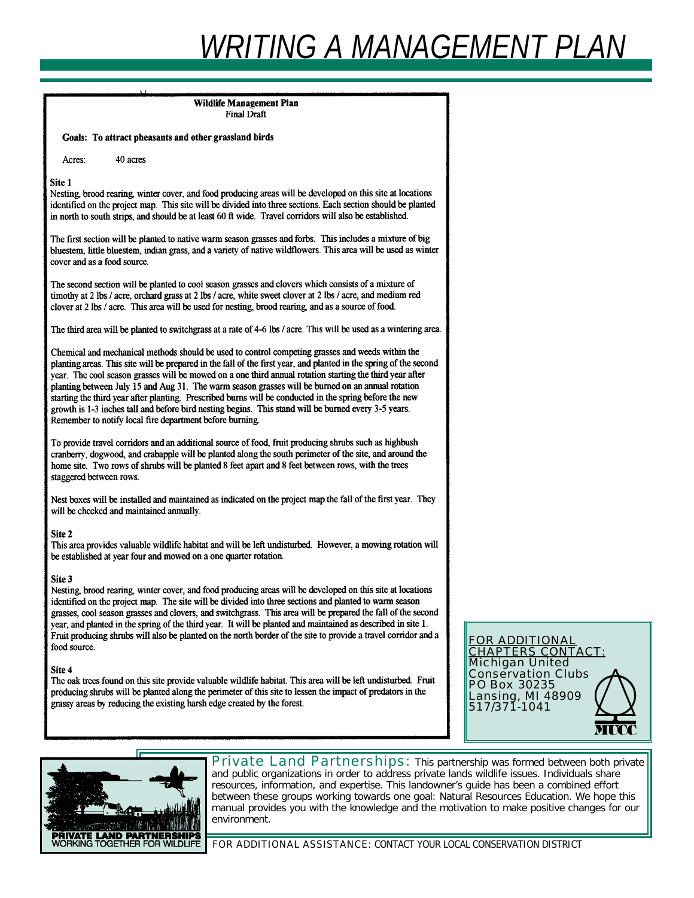# *WRITING A MANAGEMENT PLAN*

**Wildlife Management Plan** Final Draft Goals: To attract pheasants and other grassland birds Acres: 40 acres Site 1 Nesting, brood rearing, winter cover, and food producing areas will be developed on this site at locations identified on the project map. This site will be divided into three sections. Each section should be planted in north to south strips, and should be at least 60 ft wide. Travel corridors will also be established. The first section will be planted to native warm season grasses and forbs. This includes a mixture of big bluestem, little bluestem, indian grass, and a variety of native wildflowers. This area will be used as winter cover and as a food source. The second section will be planted to cool season grasses and clovers which consists of a mixture of timothy at 2 lbs / acre, orchard grass at 2 lbs / acre, white sweet clover at 2 lbs / acre, and medium red clover at 2 lbs / acre. This area will be used for nesting, brood rearing, and as a source of food. The third area will be planted to switchgrass at a rate of 4-6 lbs / acre. This will be used as a wintering area. Chemical and mechanical methods should be used to control competing grasses and weeds within the planting areas. This site will be prepared in the fall of the first year, and planted in the spring of the second year. The cool season grasses will be mowed on a one third annual rotation starting the third year after planting between July 15 and Aug 31. The warm season grasses will be burned on an annual rotation starting the third year after planting. Prescribed burns will be conducted in the spring before the new growth is 1-3 inches tall and before bird nesting begins. This stand will be burned every 3-5 years. Remember to notify local fire department before burning. To provide travel corridors and an additional source of food, fruit producing shrubs such as highbush cranberry, dogwood, and crabapple will be planted along the south perimeter of the site, and around the home site. Two rows of shrubs will be planted 8 feet apart and 8 feet between rows, with the trees staggered between rows. Nest boxes will be installed and maintained as indicated on the project map the fall of the first year. They will be checked and maintained annually. Site 2 This area provides valuable wildlife habitat and will be left undisturbed. However, a mowing rotation will be established at year four and mowed on a one quarter rotation. Site 3 Nesting, brood rearing, winter cover, and food producing areas will be developed on this site at locations identified on the project map. The site will be divided into three sections and planted to warm season grasses, cool season grasses and clovers, and switchgrass. This area will be prepared the fall of the second year, and planted in the spring of the third year. It will be planted and maintained as described in site 1. Fruit producing shrubs will also be planted on the north border of the site to provide a travel corridor and a food source. Site 4 The oak trees found on this site provide valuable wildlife habitat. This area will be left undisturbed. Fruit producing shrubs will be planted along the perimeter of this site to lessen the impact of predators in the grassy areas by reducing the existing harsh edge created by the forest.





Private Land Partnerships: This partnership was formed between both private and public organizations in order to address private lands wildlife issues. Individuals share resources, information, and expertise. This landowner's guide has been a combined effort between these groups working towards one goal: Natural Resources Education. We hope this manual provides you with the knowledge and the motivation to make positive changes for our environment.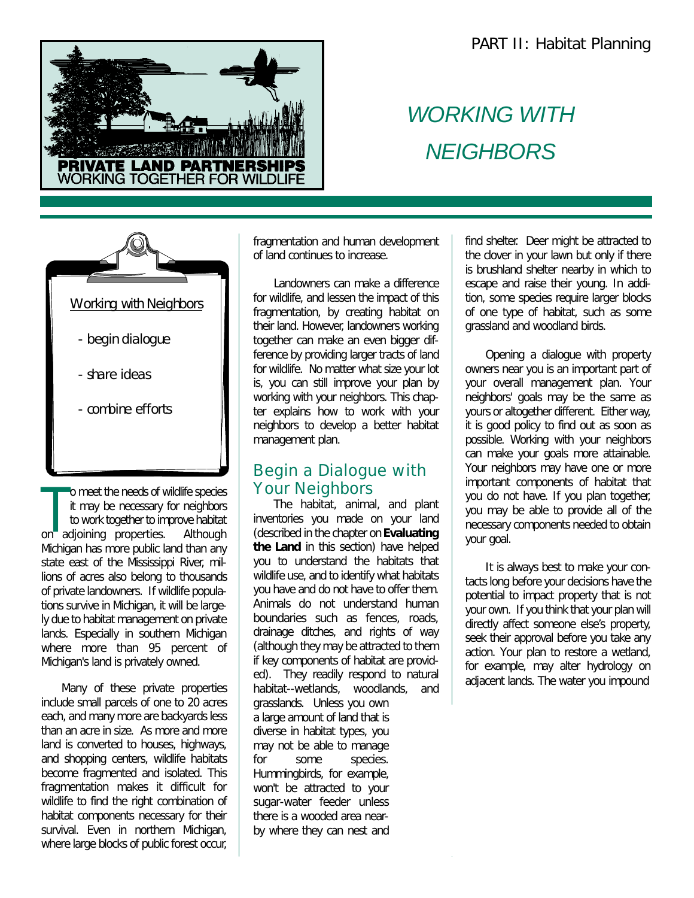

## *WORKING WITH NEIGHBORS*



The meads of wildlife species<br>
it may be necessary for neighbors<br>
to work together to improve habitat<br>
on adjoining properties. Although o meet the needs of wildlife species it may be necessary for neighbors to work together to improve habitat Michigan has more public land than any state east of the Mississippi River, millions of acres also belong to thousands of private landowners. If wildlife populations survive in Michigan, it will be largely due to habitat management on private lands. Especially in southern Michigan where more than 95 percent of Michigan's land is privately owned.

Many of these private properties include small parcels of one to 20 acres each, and many more are backyards less than an acre in size. As more and more land is converted to houses, highways, and shopping centers, wildlife habitats become fragmented and isolated. This fragmentation makes it difficult for wildlife to find the right combination of habitat components necessary for their survival. Even in northern Michigan, where large blocks of public forest occur,

fragmentation and human development of land continues to increase.

Landowners can make a difference for wildlife, and lessen the impact of this fragmentation, by creating habitat on their land. However, landowners working together can make an even bigger difference by providing larger tracts of land for wildlife. No matter what size your lot is, you can still improve your plan by working with your neighbors. This chapter explains how to work with your neighbors to develop a better habitat management plan.

## Begin a Dialogue with Your Neighbors

The habitat, animal, and plant inventories you made on your land (described in the chapter on **Evaluating the Land** in this section) have helped you to understand the habitats that wildlife use, and to identify what habitats you have and do not have to offer them. Animals do not understand human boundaries such as fences, roads, drainage ditches, and rights of way (although they may be attracted to them if key components of habitat are provided). They readily respond to natural habitat--wetlands, woodlands, and grasslands. Unless you own a large amount of land that is diverse in habitat types, you may not be able to manage for some species. Hummingbirds, for example, won't be attracted to your sugar-water feeder unless there is a wooded area nearby where they can nest and

find shelter. Deer might be attracted to the clover in your lawn but only if there is brushland shelter nearby in which to escape and raise their young. In addition, some species require larger blocks of one type of habitat, such as some grassland and woodland birds.

Opening a dialogue with property owners near you is an important part of your overall management plan. Your neighbors' goals may be the same as yours or altogether different. Either way, it is good policy to find out as soon as possible. Working with your neighbors can make your goals more attainable. Your neighbors may have one or more important components of habitat that you do not have. If you plan together, you may be able to provide all of the necessary components needed to obtain your goal.

It is always best to make your contacts long before your decisions have the potential to impact property that is not your own. If you think that your plan will directly affect someone else's property, seek their approval before you take any action. Your plan to restore a wetland, for example, may alter hydrology on adjacent lands. The water you impound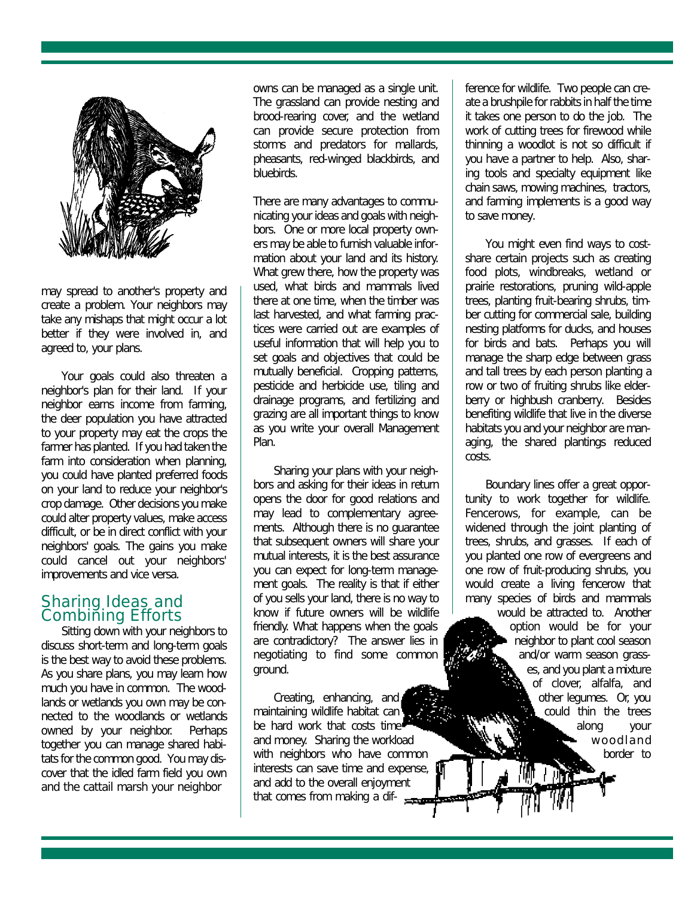

may spread to another's property and create a problem. Your neighbors may take any mishaps that might occur a lot better if they were involved in, and agreed to, your plans.

Your goals could also threaten a neighbor's plan for their land. If your neighbor earns income from farming, the deer population you have attracted to your property may eat the crops the farmer has planted. If you had taken the farm into consideration when planning, you could have planted preferred foods on your land to reduce your neighbor's crop damage. Other decisions you make could alter property values, make access difficult, or be in direct conflict with your neighbors' goals. The gains you make could cancel out your neighbors' improvements and vice versa.

#### Sharing Ideas and Combining Efforts

Sitting down with your neighbors to discuss short-term and long-term goals is the best way to avoid these problems. As you share plans, you may learn how much you have in common. The woodlands or wetlands you own may be connected to the woodlands or wetlands owned by your neighbor. Perhaps together you can manage shared habitats for the common good. You may discover that the idled farm field you own and the cattail marsh your neighbor

owns can be managed as a single unit. The grassland can provide nesting and brood-rearing cover, and the wetland can provide secure protection from storms and predators for mallards, pheasants, red-winged blackbirds, and bluebirds.

There are many advantages to communicating your ideas and goals with neighbors. One or more local property owners may be able to furnish valuable information about your land and its history. What grew there, how the property was used, what birds and mammals lived there at one time, when the timber was last harvested, and what farming practices were carried out are examples of useful information that will help you to set goals and objectives that could be mutually beneficial. Cropping patterns, pesticide and herbicide use, tiling and drainage programs, and fertilizing and grazing are all important things to know as you write your overall Management Plan.

Sharing your plans with your neighbors and asking for their ideas in return opens the door for good relations and may lead to complementary agreements. Although there is no guarantee that subsequent owners will share your mutual interests, it is the best assurance you can expect for long-term management goals. The reality is that if either of you sells your land, there is no way to know if future owners will be wildlife friendly. What happens when the goals are contradictory? The answer lies in negotiating to find some common ground.

Creating, enhancing, and maintaining wildlife habitat can be hard work that costs time and money. Sharing the workload with neighbors who have common interests can save time and expense, and add to the overall enjoyment that comes from making a dif- $\frac{1}{2}$ 

ference for wildlife. Two people can create a brushpile for rabbits in half the time it takes one person to do the job. The work of cutting trees for firewood while thinning a woodlot is not so difficult if you have a partner to help. Also, sharing tools and specialty equipment like chain saws, mowing machines, tractors, and farming implements is a good way to save money.

You might even find ways to costshare certain projects such as creating food plots, windbreaks, wetland or prairie restorations, pruning wild-apple trees, planting fruit-bearing shrubs, timber cutting for commercial sale, building nesting platforms for ducks, and houses for birds and bats. Perhaps you will manage the sharp edge between grass and tall trees by each person planting a row or two of fruiting shrubs like elderberry or highbush cranberry. Besides benefiting wildlife that live in the diverse habitats you and your neighbor are managing, the shared plantings reduced costs.

Boundary lines offer a great opportunity to work together for wildlife. Fencerows, for example, can be widened through the joint planting of trees, shrubs, and grasses. If each of you planted one row of evergreens and one row of fruit-producing shrubs, you would create a living fencerow that many species of birds and mammals would be attracted to. Another option would be for your

neighbor to plant cool season and/or warm season grasses, and you plant a mixture of clover, alfalfa, and other legumes. Or, you could thin the trees along your woodland border to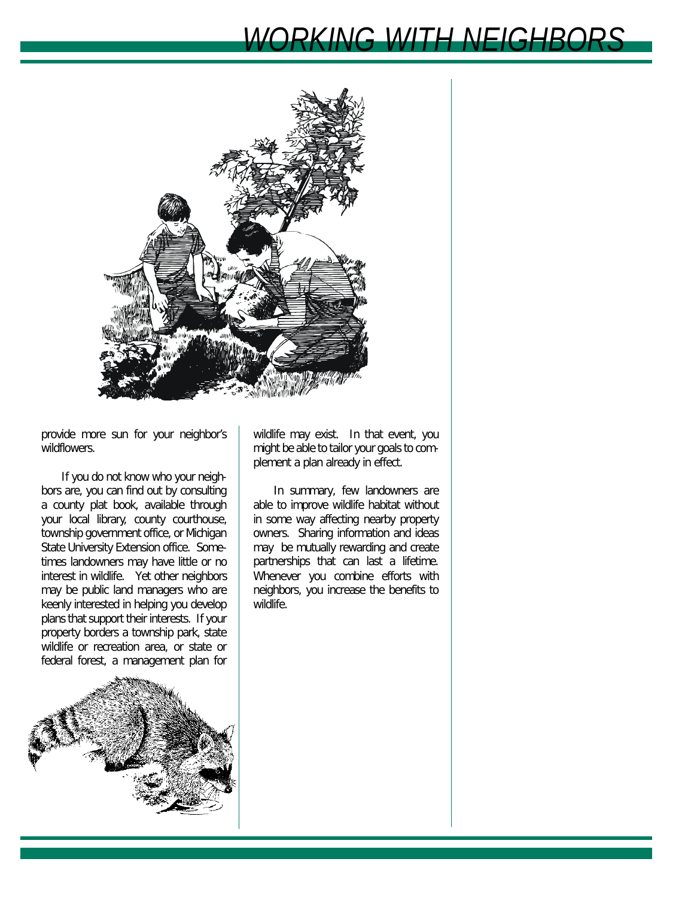# *WORKING WITH NEIGHBORS*



provide more sun for your neighbor's wildflowers.

If you do not know who your neighbors are, you can find out by consulting a county plat book, available through your local library, county courthouse, township government office, or Michigan State University Extension office. Sometimes landowners may have little or no interest in wildlife. Yet other neighbors may be public land managers who are keenly interested in helping you develop plans that support their interests. If your property borders a township park, state wildlife or recreation area, or state or federal forest, a management plan for



wildlife may exist. In that event, you might be able to tailor your goals to complement a plan already in effect.

In summary, few landowners are able to improve wildlife habitat without in some way affecting nearby property owners. Sharing information and ideas may be mutually rewarding and create partnerships that can last a lifetime. Whenever you combine efforts with neighbors, you increase the benefits to wildlife.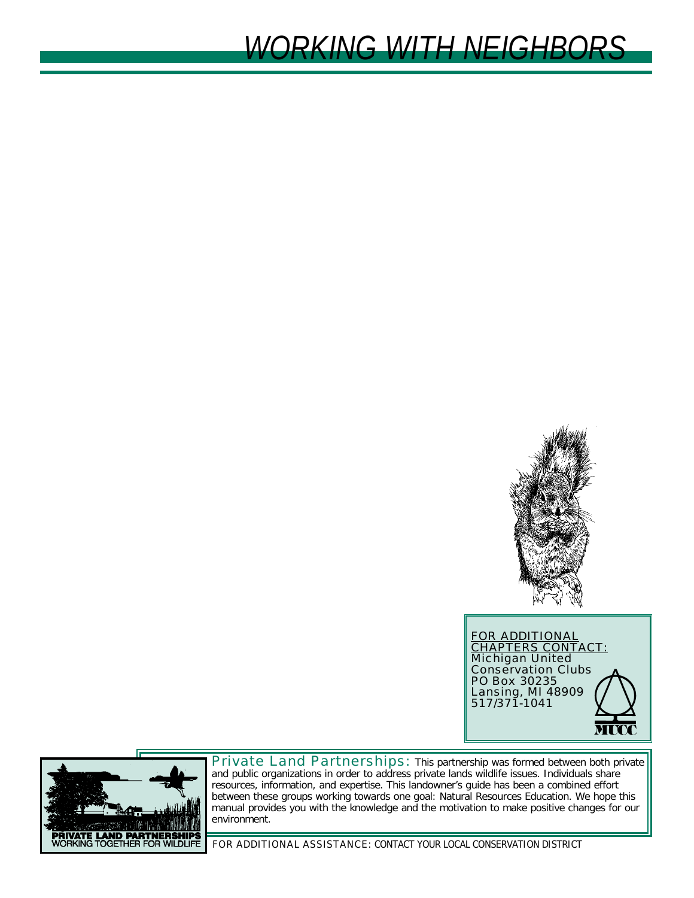





Private Land Partnerships: This partnership was formed between both private and public organizations in order to address private lands wildlife issues. Individuals share resources, information, and expertise. This landowner's guide has been a combined effort between these groups working towards one goal: Natural Resources Education. We hope this manual provides you with the knowledge and the motivation to make positive changes for our environment.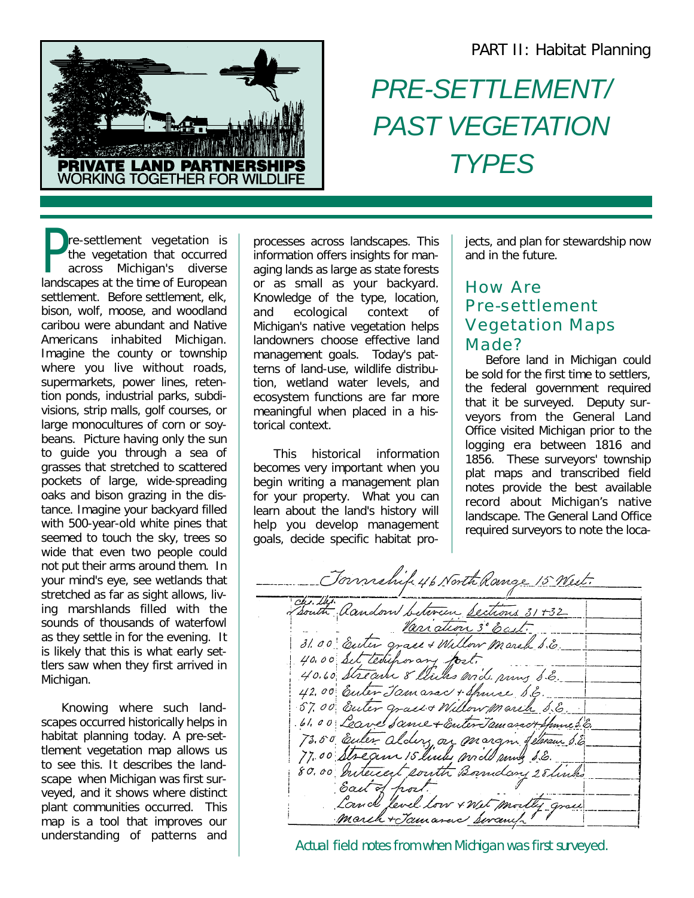

# *PRE-SETTLEMENT/ PAST VEGETATION TYPES*

**P**re-settlement vegetation is<br>the vegetation that occurred<br>across Michigan's diverse<br>landscapes at the time of European re-settlement vegetation is the vegetation that occurred across Michigan's diverse settlement. Before settlement, elk, bison, wolf, moose, and woodland caribou were abundant and Native Americans inhabited Michigan. Imagine the county or township where you live without roads, supermarkets, power lines, retention ponds, industrial parks, subdivisions, strip malls, golf courses, or large monocultures of corn or soybeans. Picture having only the sun to guide you through a sea of grasses that stretched to scattered pockets of large, wide-spreading oaks and bison grazing in the distance. Imagine your backyard filled with 500-year-old white pines that seemed to touch the sky, trees so wide that even two people could not put their arms around them. In your mind's eye, see wetlands that stretched as far as sight allows, living marshlands filled with the sounds of thousands of waterfowl as they settle in for the evening. It is likely that this is what early settlers saw when they first arrived in Michigan.

Knowing where such landscapes occurred historically helps in habitat planning today. A pre-settlement vegetation map allows us to see this. It describes the landscape when Michigan was first surveyed, and it shows where distinct plant communities occurred. This map is a tool that improves our understanding of patterns and

processes across landscapes. This information offers insights for managing lands as large as state forests or as small as your backyard. Knowledge of the type, location, and ecological context of Michigan's native vegetation helps landowners choose effective land management goals. Today's patterns of land-use, wildlife distribution, wetland water levels, and ecosystem functions are far more meaningful when placed in a historical context.

This historical information becomes very important when you begin writing a management plan for your property. What you can learn about the land's history will help you develop management goals, decide specific habitat projects, and plan for stewardship now and in the future.

## How Are Pre-settlement Vegetation Maps Made?

Before land in Michigan could be sold for the first time to settlers, the federal government required that it be surveyed. Deputy surveyors from the General Land Office visited Michigan prior to the logging era between 1816 and 1856. These surveyors' township plat maps and transcribed field notes provide the best available record about Michigan's native landscape. The General Land Office required surveyors to note the loca-

Jonnehif 46 North Range 15 West. Chillie Random between Sections 31+32 40.60 Set teoupor any fost. 42.00 Euter Jamasac + Spince S.E. 57.00 Euter grass + Willow march S.E. 01.00 Outer grass + Millow Marith 0.6.<br>1.00 Leave Same + Enter Jamaract Spaniel E.<br>73.50 Euler alders on mod mus S.E.<br>77.00 Stream 15 links mod mus S.E.<br>80.00 Interest south Boundary 28 links

Actual field notes from when Michigan was first surveyed.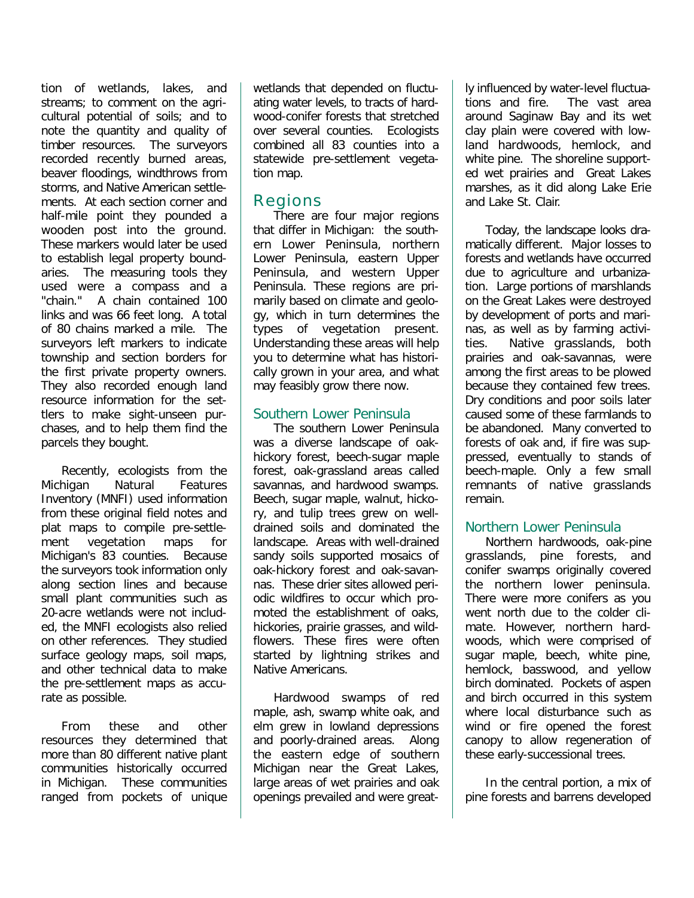tion of wetlands, lakes, and streams; to comment on the agricultural potential of soils; and to note the quantity and quality of timber resources. The surveyors recorded recently burned areas, beaver floodings, windthrows from storms, and Native American settlements. At each section corner and half-mile point they pounded a wooden post into the ground. These markers would later be used to establish legal property boundaries. The measuring tools they used were a compass and a "chain." A chain contained 100 links and was 66 feet long. A total of 80 chains marked a mile. The surveyors left markers to indicate township and section borders for the first private property owners. They also recorded enough land resource information for the settlers to make sight-unseen purchases, and to help them find the parcels they bought.

Recently, ecologists from the Michigan Natural Features Inventory (MNFI) used information from these original field notes and plat maps to compile pre-settlement vegetation maps for Michigan's 83 counties. Because the surveyors took information only along section lines and because small plant communities such as 20-acre wetlands were not included, the MNFI ecologists also relied on other references. They studied surface geology maps, soil maps, and other technical data to make the pre-settlement maps as accurate as possible.

From these and other resources they determined that more than 80 different native plant communities historically occurred in Michigan. These communities ranged from pockets of unique wetlands that depended on fluctuating water levels, to tracts of hardwood-conifer forests that stretched over several counties. Ecologists combined all 83 counties into a statewide pre-settlement vegetation map.

### Regions

There are four major regions that differ in Michigan: the southern Lower Peninsula, northern Lower Peninsula, eastern Upper Peninsula, and western Upper Peninsula. These regions are primarily based on climate and geology, which in turn determines the types of vegetation present. Understanding these areas will help you to determine what has historically grown in your area, and what may feasibly grow there now.

#### *Southern Lower Peninsula*

The southern Lower Peninsula was a diverse landscape of oakhickory forest, beech-sugar maple forest, oak-grassland areas called savannas, and hardwood swamps. Beech, sugar maple, walnut, hickory, and tulip trees grew on welldrained soils and dominated the landscape. Areas with well-drained sandy soils supported mosaics of oak-hickory forest and oak-savannas. These drier sites allowed periodic wildfires to occur which promoted the establishment of oaks, hickories, prairie grasses, and wildflowers. These fires were often started by lightning strikes and Native Americans.

Hardwood swamps of red maple, ash, swamp white oak, and elm grew in lowland depressions and poorly-drained areas. Along the eastern edge of southern Michigan near the Great Lakes, large areas of wet prairies and oak openings prevailed and were greatly influenced by water-level fluctuations and fire. The vast area around Saginaw Bay and its wet clay plain were covered with lowland hardwoods, hemlock, and white pine. The shoreline supported wet prairies and Great Lakes marshes, as it did along Lake Erie and Lake St. Clair.

Today, the landscape looks dramatically different. Major losses to forests and wetlands have occurred due to agriculture and urbanization. Large portions of marshlands on the Great Lakes were destroyed by development of ports and marinas, as well as by farming activities. Native grasslands, both prairies and oak-savannas, were among the first areas to be plowed because they contained few trees. Dry conditions and poor soils later caused some of these farmlands to be abandoned. Many converted to forests of oak and, if fire was suppressed, eventually to stands of beech-maple. Only a few small remnants of native grasslands remain.

#### *Northern Lower Peninsula*

Northern hardwoods, oak-pine grasslands, pine forests, and conifer swamps originally covered the northern lower peninsula. There were more conifers as you went north due to the colder climate. However, northern hardwoods, which were comprised of sugar maple, beech, white pine, hemlock, basswood, and yellow birch dominated. Pockets of aspen and birch occurred in this system where local disturbance such as wind or fire opened the forest canopy to allow regeneration of these early-successional trees.

In the central portion, a mix of pine forests and barrens developed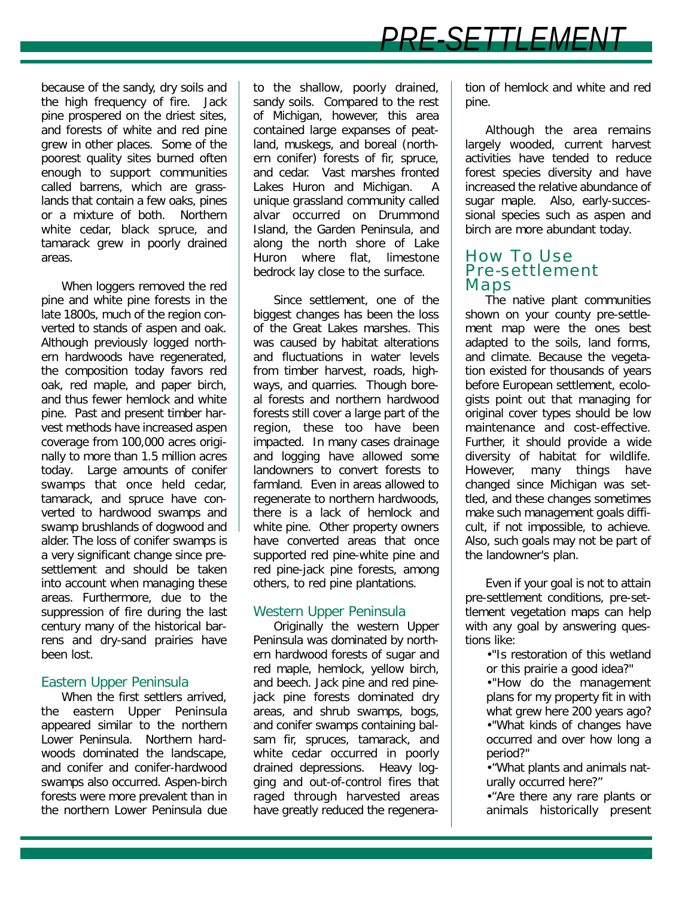because of the sandy, dry soils and the high frequency of fire. Jack pine prospered on the driest sites, and forests of white and red pine grew in other places. Some of the poorest quality sites burned often enough to support communities called barrens, which are grasslands that contain a few oaks, pines or a mixture of both. Northern white cedar, black spruce, and tamarack grew in poorly drained areas.

When loggers removed the red pine and white pine forests in the late 1800s, much of the region converted to stands of aspen and oak. Although previously logged northern hardwoods have regenerated, the composition today favors red oak, red maple, and paper birch, and thus fewer hemlock and white pine. Past and present timber harvest methods have increased aspen coverage from 100,000 acres originally to more than 1.5 million acres today. Large amounts of conifer swamps that once held cedar, tamarack, and spruce have converted to hardwood swamps and swamp brushlands of dogwood and alder. The loss of conifer swamps is a very significant change since presettlement and should be taken into account when managing these areas. Furthermore, due to the suppression of fire during the last century many of the historical barrens and dry-sand prairies have been lost.

#### *Eastern Upper Peninsula*

When the first settlers arrived, the eastern Upper Peninsula appeared similar to the northern Lower Peninsula. Northern hardwoods dominated the landscape, and conifer and conifer-hardwood swamps also occurred. Aspen-birch forests were more prevalent than in the northern Lower Peninsula due to the shallow, poorly drained, sandy soils. Compared to the rest of Michigan, however, this area contained large expanses of peatland, muskegs, and boreal (northern conifer) forests of fir, spruce, and cedar. Vast marshes fronted Lakes Huron and Michigan. A unique grassland community called alvar occurred on Drummond Island, the Garden Peninsula, and along the north shore of Lake Huron where flat, limestone bedrock lay close to the surface.

Since settlement, one of the biggest changes has been the loss of the Great Lakes marshes. This was caused by habitat alterations and fluctuations in water levels from timber harvest, roads, highways, and quarries. Though boreal forests and northern hardwood forests still cover a large part of the region, these too have been impacted. In many cases drainage and logging have allowed some landowners to convert forests to farmland. Even in areas allowed to regenerate to northern hardwoods, there is a lack of hemlock and white pine. Other property owners have converted areas that once supported red pine-white pine and red pine-jack pine forests, among others, to red pine plantations.

#### *Western Upper Peninsula*

Originally the western Upper Peninsula was dominated by northern hardwood forests of sugar and red maple, hemlock, yellow birch, and beech. Jack pine and red pinejack pine forests dominated dry areas, and shrub swamps, bogs, and conifer swamps containing balsam fir, spruces, tamarack, and white cedar occurred in poorly drained depressions. Heavy logging and out-of-control fires that raged through harvested areas have greatly reduced the regeneration of hemlock and white and red pine.

Although the area remains largely wooded, current harvest activities have tended to reduce forest species diversity and have increased the relative abundance of sugar maple. Also, early-successional species such as aspen and birch are more abundant today.

#### How To Use Pre-settlement Maps

The native plant communities shown on your county pre-settlement map were the ones best adapted to the soils, land forms, and climate. Because the vegetation existed for thousands of years before European settlement, ecologists point out that managing for original cover types should be low maintenance and cost-effective. Further, it should provide a wide diversity of habitat for wildlife. However, many things have changed since Michigan was settled, and these changes sometimes make such management goals difficult, if not impossible, to achieve. Also, such goals may not be part of the landowner's plan.

Even if your goal is not to attain pre-settlement conditions, pre-settlement vegetation maps can help with any goal by answering questions like:

•"Is restoration of this wetland or this prairie a good idea?"

•"How do the management plans for my property fit in with what grew here 200 years ago? •"What kinds of changes have occurred and over how long a period?"

•"What plants and animals naturally occurred here?"

•"Are there any rare plants or animals historically present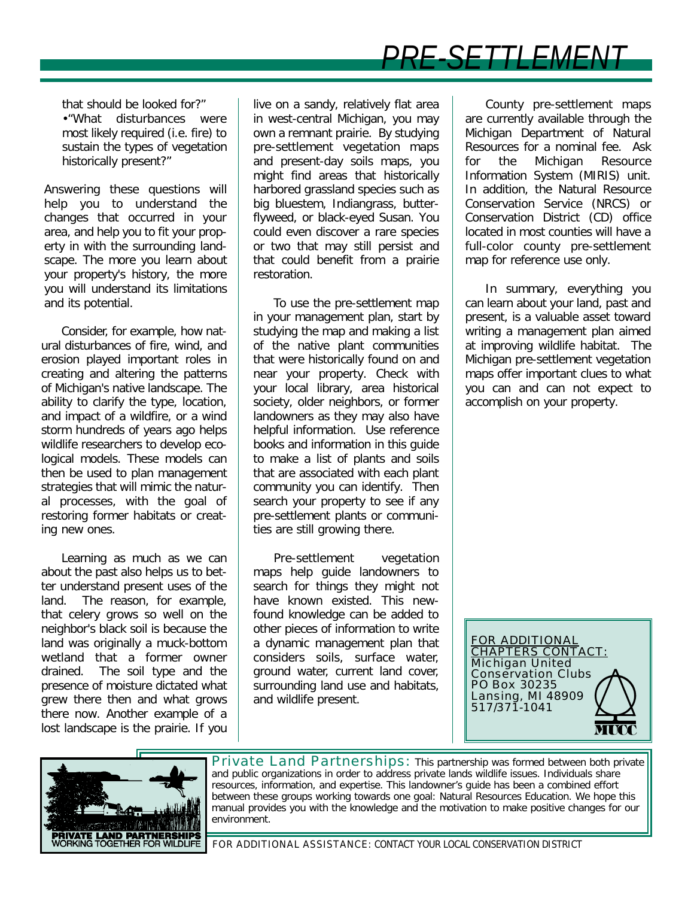## *PRE-SETTLEME*

that should be looked for?" •"What disturbances were most likely required (i.e. fire) to sustain the types of vegetation historically present?"

Answering these questions will help you to understand the changes that occurred in your area, and help you to fit your property in with the surrounding landscape. The more you learn about your property's history, the more you will understand its limitations and its potential.

Consider, for example, how natural disturbances of fire, wind, and erosion played important roles in creating and altering the patterns of Michigan's native landscape. The ability to clarify the type, location, and impact of a wildfire, or a wind storm hundreds of years ago helps wildlife researchers to develop ecological models. These models can then be used to plan management strategies that will mimic the natural processes, with the goal of restoring former habitats or creating new ones.

Learning as much as we can about the past also helps us to better understand present uses of the land. The reason, for example, that celery grows so well on the neighbor's black soil is because the land was originally a muck-bottom wetland that a former owner drained. The soil type and the presence of moisture dictated what grew there then and what grows there now. Another example of a lost landscape is the prairie. If you live on a sandy, relatively flat area in west-central Michigan, you may own a remnant prairie. By studying pre-settlement vegetation maps and present-day soils maps, you might find areas that historically harbored grassland species such as big bluestem, Indiangrass, butterflyweed, or black-eyed Susan. You could even discover a rare species or two that may still persist and that could benefit from a prairie restoration.

To use the pre-settlement map in your management plan, start by studying the map and making a list of the native plant communities that were historically found on and near your property. Check with your local library, area historical society, older neighbors, or former landowners as they may also have helpful information. Use reference books and information in this guide to make a list of plants and soils that are associated with each plant community you can identify. Then search your property to see if any pre-settlement plants or communities are still growing there.

Pre-settlement vegetation maps help guide landowners to search for things they might not have known existed. This newfound knowledge can be added to other pieces of information to write a dynamic management plan that considers soils, surface water, ground water, current land cover, surrounding land use and habitats, and wildlife present.

County pre-settlement maps are currently available through the Michigan Department of Natural Resources for a nominal fee. Ask for the Michigan Resource Information System (MIRIS) unit. In addition, the Natural Resource Conservation Service (NRCS) or Conservation District (CD) office located in most counties will have a full-color county pre-settlement map for reference use only.

In summary, everything you can learn about your land, past and present, is a valuable asset toward writing a management plan aimed at improving wildlife habitat. The Michigan pre-settlement vegetation maps offer important clues to what you can and can not expect to accomplish on your property.

FOR ADDITIONAL <u>CHAPTERS CONTACT:</u> Michigan United Conservation Clubs PO Box 30235 Lansing, MI 48909 517/371-1041



Private Land Partnerships: This partnership was formed between both private and public organizations in order to address private lands wildlife issues. Individuals share resources, information, and expertise. This landowner's guide has been a combined effort between these groups working towards one goal: Natural Resources Education. We hope this manual provides you with the knowledge and the motivation to make positive changes for our environment.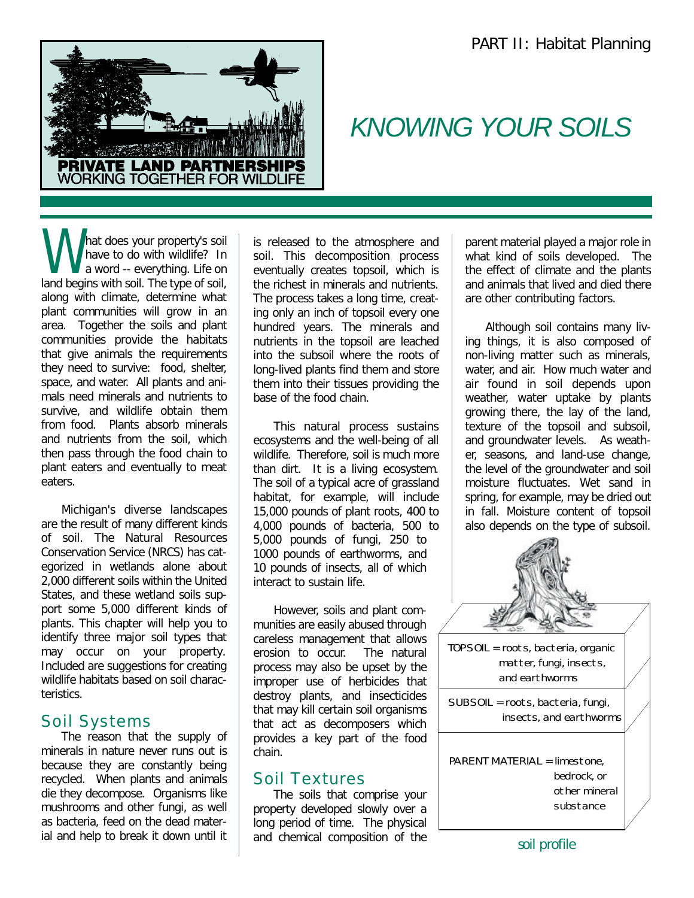

## *KNOWING YOUR SOILS*

What does your property's soil<br>have to do with wildlife? In<br>land begins with soil. The type of soil, hat does your property's soil have to do with wildlife? In a word -- everything. Life on along with climate, determine what plant communities will grow in an area. Together the soils and plant communities provide the habitats that give animals the requirements they need to survive: food, shelter, space, and water. All plants and animals need minerals and nutrients to survive, and wildlife obtain them from food. Plants absorb minerals and nutrients from the soil, which then pass through the food chain to plant eaters and eventually to meat eaters.

Michigan's diverse landscapes are the result of many different kinds of soil. The Natural Resources Conservation Service (NRCS) has categorized in wetlands alone about 2,000 different soils within the United States, and these wetland soils support some 5,000 different kinds of plants. This chapter will help you to identify three major soil types that may occur on your property. Included are suggestions for creating wildlife habitats based on soil characteristics.

#### Soil Systems

The reason that the supply of minerals in nature never runs out is because they are constantly being recycled. When plants and animals die they decompose. Organisms like mushrooms and other fungi, as well as bacteria, feed on the dead material and help to break it down until it

is released to the atmosphere and soil. This decomposition process eventually creates topsoil, which is the richest in minerals and nutrients. The process takes a long time, creating only an inch of topsoil every one hundred years. The minerals and nutrients in the topsoil are leached into the subsoil where the roots of long-lived plants find them and store them into their tissues providing the base of the food chain.

This natural process sustains ecosystems and the well-being of all wildlife. Therefore, soil is much more than dirt. It is a living ecosystem. The soil of a typical acre of grassland habitat, for example, will include 15,000 pounds of plant roots, 400 to 4,000 pounds of bacteria, 500 to 5,000 pounds of fungi, 250 to 1000 pounds of earthworms, and 10 pounds of insects, all of which interact to sustain life.

However, soils and plant communities are easily abused through careless management that allows erosion to occur. The natural process may also be upset by the improper use of herbicides that destroy plants, and insecticides that may kill certain soil organisms that act as decomposers which provides a key part of the food chain.

## Soil Textures

The soils that comprise your property developed slowly over a long period of time. The physical and chemical composition of the parent material played a major role in what kind of soils developed. The the effect of climate and the plants and animals that lived and died there are other contributing factors.

Although soil contains many living things, it is also composed of non-living matter such as minerals, water, and air. How much water and air found in soil depends upon weather, water uptake by plants growing there, the lay of the land, texture of the topsoil and subsoil, and groundwater levels. As weather, seasons, and land-use change, the level of the groundwater and soil moisture fluctuates. Wet sand in spring, for example, may be dried out in fall. Moisture content of topsoil also depends on the type of subsoil.



soil profile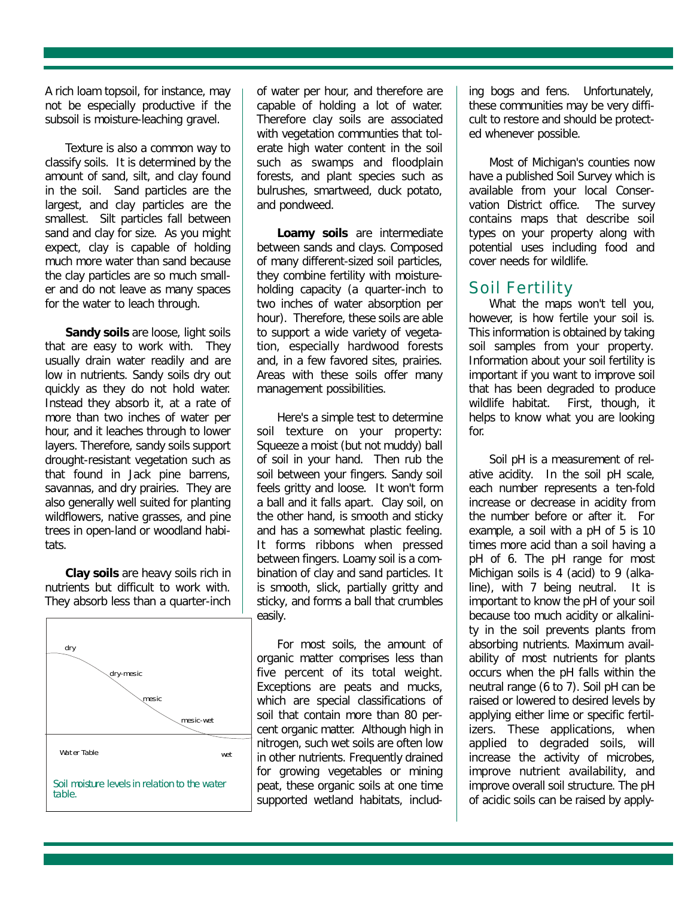A rich loam topsoil, for instance, may not be especially productive if the subsoil is moisture-leaching gravel.

Texture is also a common way to classify soils. It is determined by the amount of sand, silt, and clay found in the soil. Sand particles are the largest, and clay particles are the smallest. Silt particles fall between sand and clay for size. As you might expect, clay is capable of holding much more water than sand because the clay particles are so much smaller and do not leave as many spaces for the water to leach through.

**Sandy soils** are loose, light soils that are easy to work with. They usually drain water readily and are low in nutrients. Sandy soils dry out quickly as they do not hold water. Instead they absorb it, at a rate of more than two inches of water per hour, and it leaches through to lower layers. Therefore, sandy soils support drought-resistant vegetation such as that found in Jack pine barrens, savannas, and dry prairies. They are also generally well suited for planting wildflowers, native grasses, and pine trees in open-land or woodland habitats.

**Clay soils** are heavy soils rich in nutrients but difficult to work with. They absorb less than a quarter-inch



of water per hour, and therefore are capable of holding a lot of water. Therefore clay soils are associated with vegetation communties that tolerate high water content in the soil such as swamps and floodplain forests, and plant species such as bulrushes, smartweed, duck potato, and pondweed.

**Loamy soils** are intermediate between sands and clays. Composed of many different-sized soil particles, they combine fertility with moistureholding capacity (a quarter-inch to two inches of water absorption per hour). Therefore, these soils are able to support a wide variety of vegetation, especially hardwood forests and, in a few favored sites, prairies. Areas with these soils offer many management possibilities.

Here's a simple test to determine soil texture on your property: Squeeze a moist (but not muddy) ball of soil in your hand. Then rub the soil between your fingers. Sandy soil feels gritty and loose. It won't form a ball and it falls apart. Clay soil, on the other hand, is smooth and sticky and has a somewhat plastic feeling. It forms ribbons when pressed between fingers. Loamy soil is a combination of clay and sand particles. It is smooth, slick, partially gritty and sticky, and forms a ball that crumbles easily.

For most soils, the amount of organic matter comprises less than five percent of its total weight. Exceptions are peats and mucks, which are special classifications of soil that contain more than 80 percent organic matter. Although high in nitrogen, such wet soils are often low in other nutrients. Frequently drained for growing vegetables or mining peat, these organic soils at one time supported wetland habitats, including bogs and fens. Unfortunately, these communities may be very difficult to restore and should be protected whenever possible.

Most of Michigan's counties now have a published Soil Survey which is available from your local Conservation District office. The survey contains maps that describe soil types on your property along with potential uses including food and cover needs for wildlife.

## Soil Fertility

What the maps won't tell you, however, is how fertile your soil is. This information is obtained by taking soil samples from your property. Information about your soil fertility is important if you want to improve soil that has been degraded to produce wildlife habitat. First, though, it helps to know what you are looking for.

Soil pH is a measurement of relative acidity. In the soil pH scale, each number represents a ten-fold increase or decrease in acidity from the number before or after it. For example, a soil with a pH of 5 is 10 times more acid than a soil having a pH of 6. The pH range for most Michigan soils is 4 (acid) to 9 (alkaline), with 7 being neutral. It is important to know the pH of your soil because too much acidity or alkalinity in the soil prevents plants from absorbing nutrients. Maximum availability of most nutrients for plants occurs when the pH falls within the neutral range (6 to 7). Soil pH can be raised or lowered to desired levels by applying either lime or specific fertilizers. These applications, when applied to degraded soils, will increase the activity of microbes, improve nutrient availability, and improve overall soil structure. The pH of acidic soils can be raised by apply-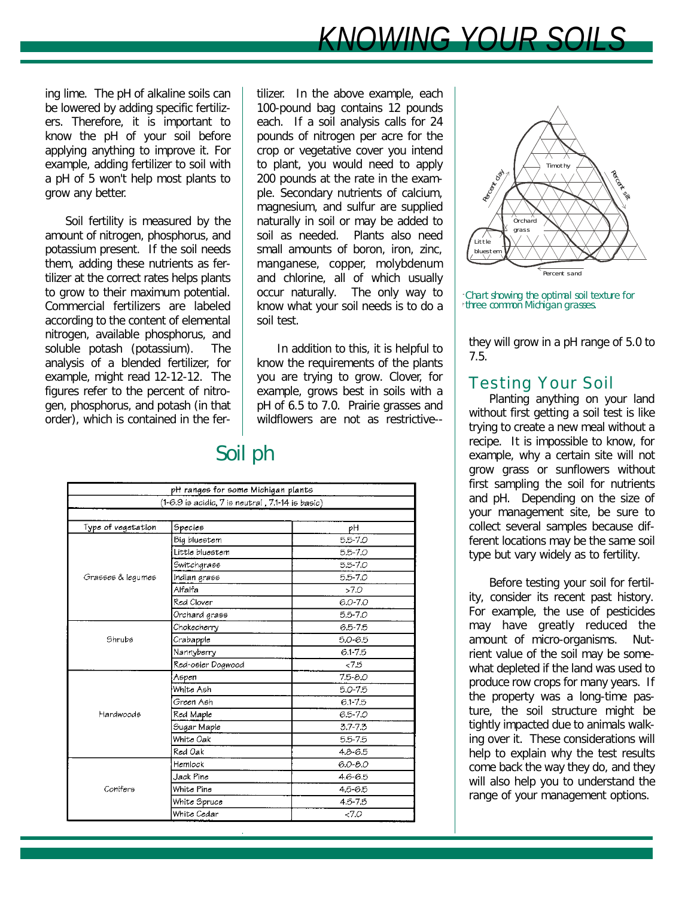## *KNOWING YOUR SOILS*

ing lime. The pH of alkaline soils can be lowered by adding specific fertilizers. Therefore, it is important to know the pH of your soil before applying anything to improve it. For example, adding fertilizer to soil with a pH of 5 won't help most plants to grow any better.

Soil fertility is measured by the amount of nitrogen, phosphorus, and potassium present. If the soil needs them, adding these nutrients as fertilizer at the correct rates helps plants to grow to their maximum potential. Commercial fertilizers are labeled according to the content of elemental nitrogen, available phosphorus, and soluble potash (potassium). The analysis of a blended fertilizer, for example, might read 12-12-12. The figures refer to the percent of nitrogen, phosphorus, and potash (in that order), which is contained in the fertilizer. In the above example, each 100-pound bag contains 12 pounds each. If a soil analysis calls for 24 pounds of nitrogen per acre for the crop or vegetative cover you intend to plant, you would need to apply 200 pounds at the rate in the example. Secondary nutrients of calcium, magnesium, and sulfur are supplied naturally in soil or may be added to soil as needed. Plants also need small amounts of boron, iron, zinc, manganese, copper, molybdenum and chlorine, all of which usually occur naturally. The only way to know what your soil needs is to do a soil test.

In addition to this, it is helpful to know the requirements of the plants you are trying to grow. Clover, for example, grows best in soils with a pH of 6.5 to 7.0. Prairie grasses and wildflowers are not as restrictive--

## Soil ph

| pH ranges for some Michigan plants |                                                      |             |  |  |  |
|------------------------------------|------------------------------------------------------|-------------|--|--|--|
|                                    | $(1-6.9$ is acidic, $7$ is neutral, 7.1-14 is basic) |             |  |  |  |
|                                    |                                                      |             |  |  |  |
| Type of vegetation                 | Species                                              | pΗ          |  |  |  |
| Grasses & lequmes                  | Big bluestem                                         | 5.5-7.0     |  |  |  |
|                                    | Little bluestem                                      | 5.5-7.0     |  |  |  |
|                                    | Switchgrass                                          | 5.5-7.0     |  |  |  |
|                                    | Indian grass                                         | 5.5-7.0     |  |  |  |
|                                    | Alfalfa                                              | >7.0        |  |  |  |
|                                    | Red Clover                                           | $6.0 - 7.0$ |  |  |  |
|                                    | Orchard grass                                        | 5.5-7.0     |  |  |  |
|                                    | Chokecherry                                          | 65-75       |  |  |  |
| Shrubs                             | Crabapple                                            | $5.0 - 6.5$ |  |  |  |
|                                    | Nannyberry                                           | $6.1 - 7.5$ |  |  |  |
|                                    | Red-osier Dogwood                                    | < 7.5       |  |  |  |
|                                    | Aspen                                                | $7.5 - 8.0$ |  |  |  |
|                                    | White Ash                                            | $5.0 - 7.5$ |  |  |  |
| Hardwoods                          | Green Ash                                            | 6.1-7.5     |  |  |  |
|                                    | Red Maple                                            | $6.5 - 7.0$ |  |  |  |
|                                    | Sugar Maple                                          | $3.7 - 7.3$ |  |  |  |
|                                    | White Oak                                            | 5.5-7.5     |  |  |  |
|                                    | Red Oak                                              | $4.8 - 6.5$ |  |  |  |
| Conifers                           | Hemlock                                              | 6.0-8.0     |  |  |  |
|                                    | Jack Pine                                            | 4.6-6.5     |  |  |  |
|                                    | White Pine                                           | 4.5-6.5     |  |  |  |
|                                    | White Spruce                                         | 4.5-7.5     |  |  |  |
|                                    | White Cedar                                          | &5.0        |  |  |  |



three common Michigan grasses. Chart showing the optimal soil texture for

they will grow in a pH range of 5.0 to 7.5.

## Testing Your Soil

Planting anything on your land without first getting a soil test is like trying to create a new meal without a recipe. It is impossible to know, for example, why a certain site will not grow grass or sunflowers without first sampling the soil for nutrients and pH. Depending on the size of your management site, be sure to collect several samples because different locations may be the same soil type but vary widely as to fertility.

Before testing your soil for fertility, consider its recent past history. For example, the use of pesticides may have greatly reduced the amount of micro-organisms. Nutrient value of the soil may be somewhat depleted if the land was used to produce row crops for many years. If the property was a long-time pasture, the soil structure might be tightly impacted due to animals walking over it. These considerations will help to explain why the test results come back the way they do, and they will also help you to understand the range of your management options.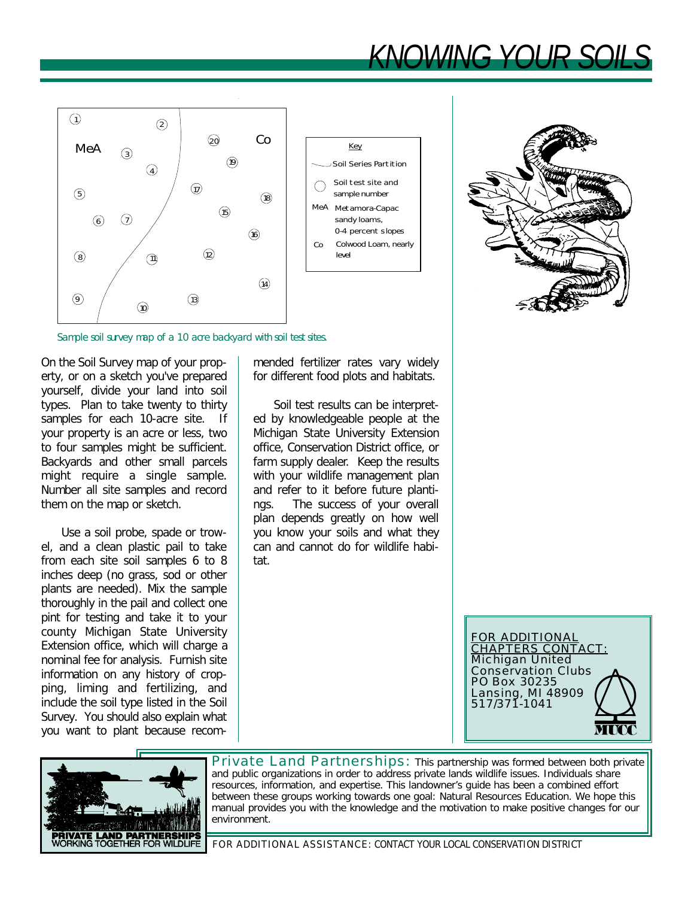# $K$ *KIOVA/INIC*





Sample soil survey map of a 10 acre backyard with soil test sites.

On the Soil Survey map of your property, or on a sketch you've prepared yourself, divide your land into soil types. Plan to take twenty to thirty samples for each 10-acre site. If your property is an acre or less, two to four samples might be sufficient. Backyards and other small parcels might require a single sample. Number all site samples and record them on the map or sketch.

Use a soil probe, spade or trowel, and a clean plastic pail to take from each site soil samples 6 to 8 inches deep (no grass, sod or other plants are needed). Mix the sample thoroughly in the pail and collect one pint for testing and take it to your county Michigan State University Extension office, which will charge a nominal fee for analysis. Furnish site information on any history of cropping, liming and fertilizing, and include the soil type listed in the Soil Survey. You should also explain what you want to plant because recommended fertilizer rates vary widely for different food plots and habitats.

Soil test results can be interpreted by knowledgeable people at the Michigan State University Extension office, Conservation District office, or farm supply dealer. Keep the results with your wildlife management plan and refer to it before future plantings. The success of your overall plan depends greatly on how well you know your soils and what they can and cannot do for wildlife habitat.





Private Land Partnerships: This partnership was formed between both private and public organizations in order to address private lands wildlife issues. Individuals share resources, information, and expertise. This landowner's guide has been a combined effort between these groups working towards one goal: Natural Resources Education. We hope this manual provides you with the knowledge and the motivation to make positive changes for our environment.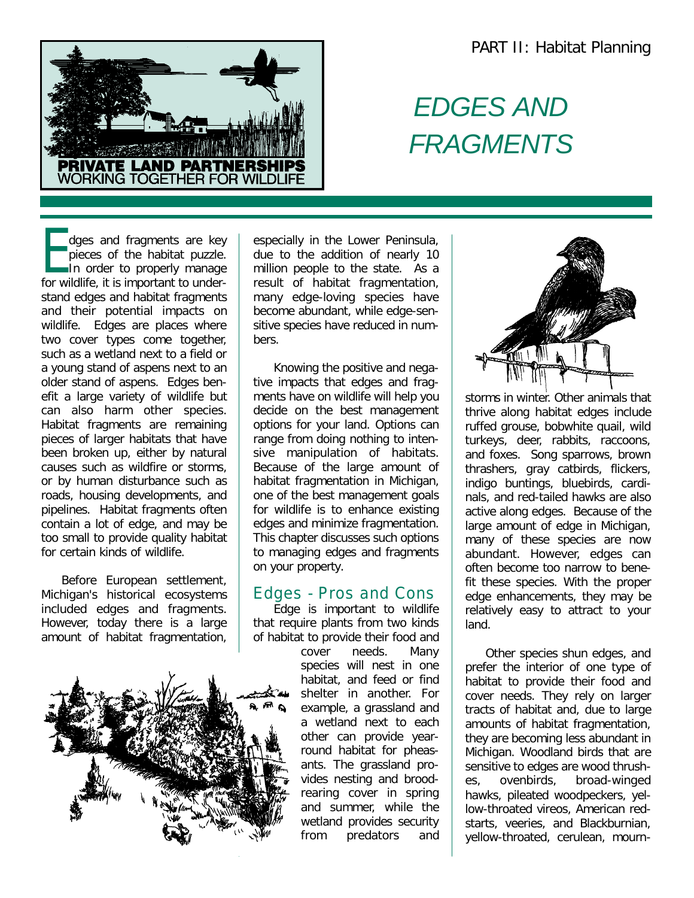

## *EDGES AND FRAGMENTS*

dges and fragments are key<br>pieces of the habitat puzzle.<br>In order to properly manage dges and fragments are key pieces of the habitat puzzle. for wildlife, it is important to understand edges and habitat fragments and their potential impacts on wildlife. Edges are places where two cover types come together, such as a wetland next to a field or a young stand of aspens next to an older stand of aspens. Edges benefit a large variety of wildlife but can also harm other species. Habitat fragments are remaining pieces of larger habitats that have been broken up, either by natural causes such as wildfire or storms, or by human disturbance such as roads, housing developments, and pipelines. Habitat fragments often contain a lot of edge, and may be too small to provide quality habitat for certain kinds of wildlife.

Before European settlement, Michigan's historical ecosystems included edges and fragments. However, today there is a large amount of habitat fragmentation,



especially in the Lower Peninsula, due to the addition of nearly 10 million people to the state. As a result of habitat fragmentation, many edge-loving species have become abundant, while edge-sensitive species have reduced in numbers.

Knowing the positive and negative impacts that edges and fragments have on wildlife will help you decide on the best management options for your land. Options can range from doing nothing to intensive manipulation of habitats. Because of the large amount of habitat fragmentation in Michigan, one of the best management goals for wildlife is to enhance existing edges and minimize fragmentation. This chapter discusses such options to managing edges and fragments on your property.

#### Edges - Pros and Cons

Edge is important to wildlife that require plants from two kinds of habitat to provide their food and

cover needs. Many species will nest in one habitat, and feed or find shelter in another. For example, a grassland and a wetland next to each other can provide yearround habitat for pheasants. The grassland provides nesting and broodrearing cover in spring and summer, while the wetland provides security from predators and



storms in winter. Other animals that thrive along habitat edges include ruffed grouse, bobwhite quail, wild turkeys, deer, rabbits, raccoons, and foxes. Song sparrows, brown thrashers, gray catbirds, flickers, indigo buntings, bluebirds, cardinals, and red-tailed hawks are also active along edges. Because of the large amount of edge in Michigan, many of these species are now abundant. However, edges can often become too narrow to benefit these species. With the proper edge enhancements, they may be relatively easy to attract to your land.

Other species shun edges, and prefer the interior of one type of habitat to provide their food and cover needs. They rely on larger tracts of habitat and, due to large amounts of habitat fragmentation, they are becoming less abundant in Michigan. Woodland birds that are sensitive to edges are wood thrushes, ovenbirds, broad-winged hawks, pileated woodpeckers, yellow-throated vireos, American redstarts, veeries, and Blackburnian, yellow-throated, cerulean, mourn-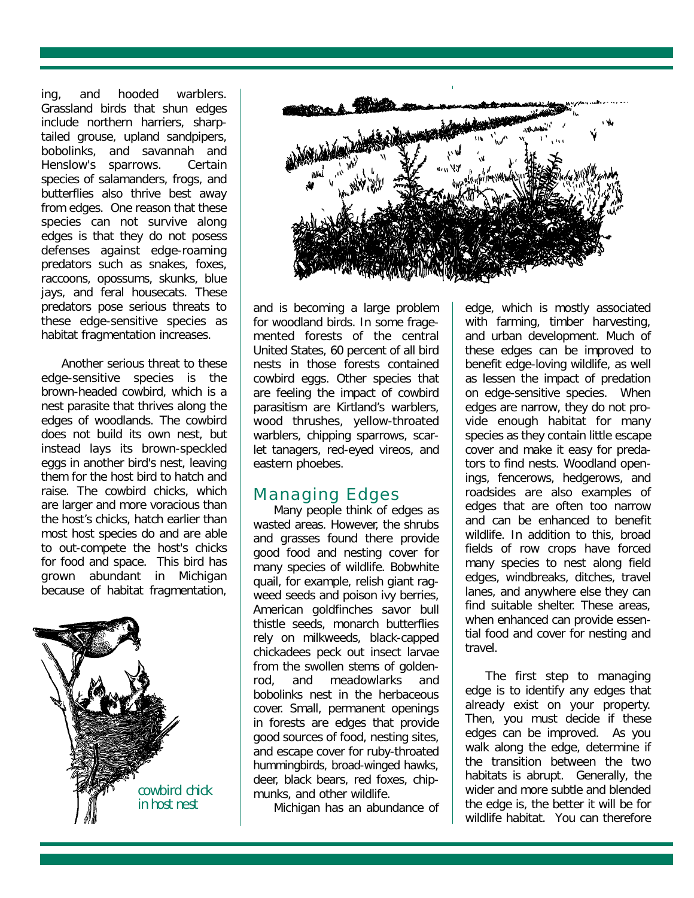ing, and hooded warblers. Grassland birds that shun edges include northern harriers, sharptailed grouse, upland sandpipers, bobolinks, and savannah and Henslow's sparrows. Certain species of salamanders, frogs, and butterflies also thrive best away from edges. One reason that these species can not survive along edges is that they do not posess defenses against edge-roaming predators such as snakes, foxes, raccoons, opossums, skunks, blue jays, and feral housecats. These predators pose serious threats to these edge-sensitive species as habitat fragmentation increases.

Another serious threat to these edge-sensitive species is the brown-headed cowbird, which is a nest parasite that thrives along the edges of woodlands. The cowbird does not build its own nest, but instead lays its brown-speckled eggs in another bird's nest, leaving them for the host bird to hatch and raise. The cowbird chicks, which are larger and more voracious than the host's chicks, hatch earlier than most host species do and are able to out-compete the host's chicks for food and space. This bird has grown abundant in Michigan because of habitat fragmentation,





and is becoming a large problem for woodland birds. In some fragemented forests of the central United States, 60 percent of all bird nests in those forests contained cowbird eggs. Other species that are feeling the impact of cowbird parasitism are Kirtland's warblers, wood thrushes, yellow-throated warblers, chipping sparrows, scarlet tanagers, red-eyed vireos, and eastern phoebes.

## Managing Edges

Many people think of edges as wasted areas. However, the shrubs and grasses found there provide good food and nesting cover for many species of wildlife. Bobwhite quail, for example, relish giant ragweed seeds and poison ivy berries, American goldfinches savor bull thistle seeds, monarch butterflies rely on milkweeds, black-capped chickadees peck out insect larvae from the swollen stems of goldenrod, and meadowlarks and bobolinks nest in the herbaceous cover. Small, permanent openings in forests are edges that provide good sources of food, nesting sites, and escape cover for ruby-throated hummingbirds, broad-winged hawks, deer, black bears, red foxes, chipmunks, and other wildlife.

Michigan has an abundance of

edge, which is mostly associated with farming, timber harvesting, and urban development. Much of these edges can be improved to benefit edge-loving wildlife, as well as lessen the impact of predation on edge-sensitive species. When edges are narrow, they do not provide enough habitat for many species as they contain little escape cover and make it easy for predators to find nests. Woodland openings, fencerows, hedgerows, and roadsides are also examples of edges that are often too narrow and can be enhanced to benefit wildlife. In addition to this, broad fields of row crops have forced many species to nest along field edges, windbreaks, ditches, travel lanes, and anywhere else they can find suitable shelter. These areas, when enhanced can provide essential food and cover for nesting and travel.

The first step to managing edge is to identify any edges that already exist on your property. Then, you must decide if these edges can be improved. As you walk along the edge, determine if the transition between the two habitats is abrupt. Generally, the wider and more subtle and blended the edge is, the better it will be for wildlife habitat. You can therefore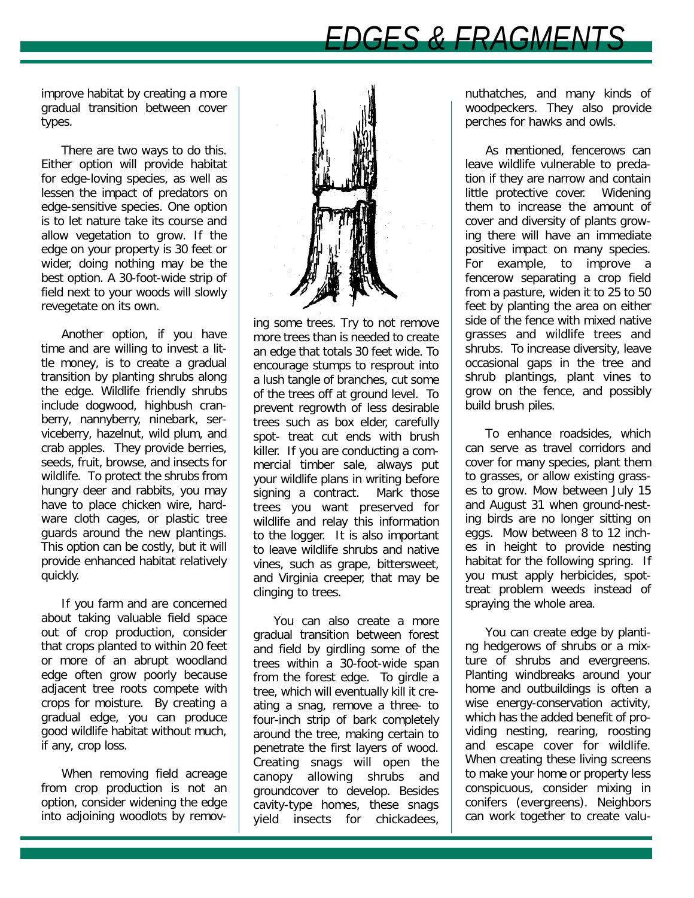## **DGES & FRAGMEN**

improve habitat by creating a more gradual transition between cover types.

There are two ways to do this. Either option will provide habitat for edge-loving species, as well as lessen the impact of predators on edge-sensitive species. One option is to let nature take its course and allow vegetation to grow. If the edge on your property is 30 feet or wider, doing nothing may be the best option. A 30-foot-wide strip of field next to your woods will slowly revegetate on its own.

Another option, if you have time and are willing to invest a little money, is to create a gradual transition by planting shrubs along the edge. Wildlife friendly shrubs include dogwood, highbush cranberry, nannyberry, ninebark, serviceberry, hazelnut, wild plum, and crab apples. They provide berries, seeds, fruit, browse, and insects for wildlife. To protect the shrubs from hungry deer and rabbits, you may have to place chicken wire, hardware cloth cages, or plastic tree guards around the new plantings. This option can be costly, but it will provide enhanced habitat relatively quickly.

If you farm and are concerned about taking valuable field space out of crop production, consider that crops planted to within 20 feet or more of an abrupt woodland edge often grow poorly because adjacent tree roots compete with crops for moisture. By creating a gradual edge, you can produce good wildlife habitat without much, if any, crop loss.

When removing field acreage from crop production is not an option, consider widening the edge into adjoining woodlots by remov-



ing some trees. Try to not remove more trees than is needed to create an edge that totals 30 feet wide. To encourage stumps to resprout into a lush tangle of branches, cut some of the trees off at ground level. To prevent regrowth of less desirable trees such as box elder, carefully spot- treat cut ends with brush killer. If you are conducting a commercial timber sale, always put your wildlife plans in writing before signing a contract. Mark those trees you want preserved for wildlife and relay this information to the logger. It is also important to leave wildlife shrubs and native vines, such as grape, bittersweet, and Virginia creeper, that may be clinging to trees.

You can also create a more gradual transition between forest and field by girdling some of the trees within a 30-foot-wide span from the forest edge. To girdle a tree, which will eventually kill it creating a snag, remove a three- to four-inch strip of bark completely around the tree, making certain to penetrate the first layers of wood. Creating snags will open the canopy allowing shrubs and groundcover to develop. Besides cavity-type homes, these snags yield insects for chickadees,

nuthatches, and many kinds of woodpeckers. They also provide perches for hawks and owls.

As mentioned, fencerows can leave wildlife vulnerable to predation if they are narrow and contain little protective cover. Widening them to increase the amount of cover and diversity of plants growing there will have an immediate positive impact on many species. For example, to improve a fencerow separating a crop field from a pasture, widen it to 25 to 50 feet by planting the area on either side of the fence with mixed native grasses and wildlife trees and shrubs. To increase diversity, leave occasional gaps in the tree and shrub plantings, plant vines to grow on the fence, and possibly build brush piles.

To enhance roadsides, which can serve as travel corridors and cover for many species, plant them to grasses, or allow existing grasses to grow. Mow between July 15 and August 31 when ground-nesting birds are no longer sitting on eggs. Mow between 8 to 12 inches in height to provide nesting habitat for the following spring. If you must apply herbicides, spottreat problem weeds instead of spraying the whole area.

You can create edge by planting hedgerows of shrubs or a mixture of shrubs and evergreens. Planting windbreaks around your home and outbuildings is often a wise energy-conservation activity, which has the added benefit of providing nesting, rearing, roosting and escape cover for wildlife. When creating these living screens to make your home or property less conspicuous, consider mixing in conifers (evergreens). Neighbors can work together to create valu-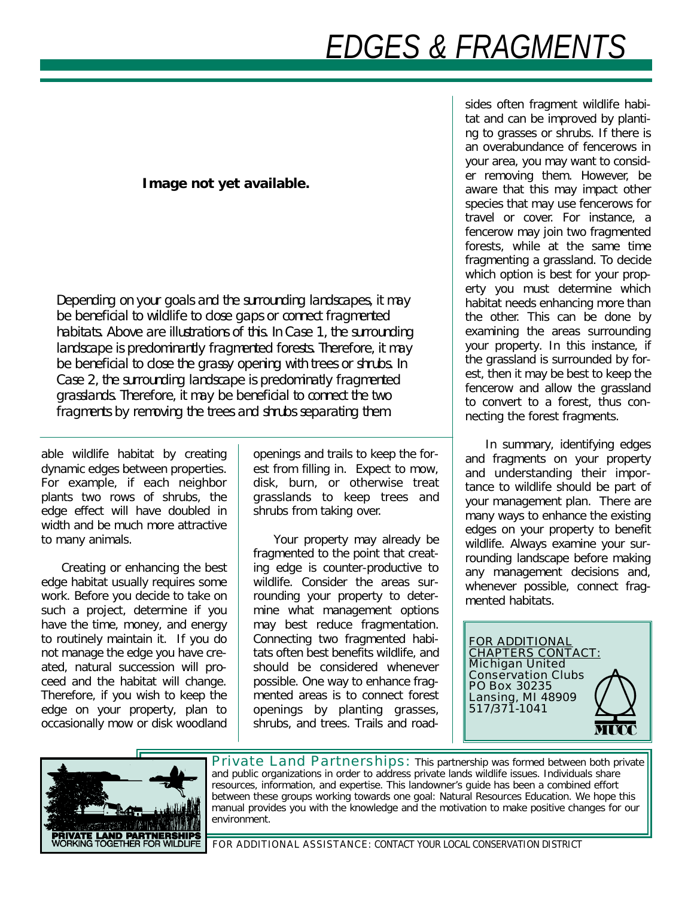# *EDGES & FRAGMENTS*

#### **Image not yet available.**

Depending on your goals and the surrounding landscapes, it may be beneficial to wildlife to close gaps or connect fragmented habitats. Above are illustrations of this. In Case 1, the surrounding landscape is predominantly fragmented forests. Therefore, it may be beneficial to close the grassy opening with trees or shrubs. In Case 2, the surrounding landscape is predominatly fragmented grasslands. Therefore, it may be beneficial to connect the two fragments by removing the trees and shrubs separating them.

able wildlife habitat by creating dynamic edges between properties. For example, if each neighbor plants two rows of shrubs, the edge effect will have doubled in width and be much more attractive to many animals.

Creating or enhancing the best edge habitat usually requires some work. Before you decide to take on such a project, determine if you have the time, money, and energy to routinely maintain it. If you do not manage the edge you have created, natural succession will proceed and the habitat will change. Therefore, if you wish to keep the edge on your property, plan to occasionally mow or disk woodland

openings and trails to keep the forest from filling in. Expect to mow, disk, burn, or otherwise treat grasslands to keep trees and shrubs from taking over.

Your property may already be fragmented to the point that creating edge is counter-productive to wildlife. Consider the areas surrounding your property to determine what management options may best reduce fragmentation. Connecting two fragmented habitats often best benefits wildlife, and should be considered whenever possible. One way to enhance fragmented areas is to connect forest openings by planting grasses, shrubs, and trees. Trails and roadsides often fragment wildlife habitat and can be improved by planting to grasses or shrubs. If there is an overabundance of fencerows in your area, you may want to consider removing them. However, be aware that this may impact other species that may use fencerows for travel or cover. For instance, a fencerow may join two fragmented forests, while at the same time fragmenting a grassland. To decide which option is best for your property you must determine which habitat needs enhancing more than the other. This can be done by examining the areas surrounding your property. In this instance, if the grassland is surrounded by forest, then it may be best to keep the fencerow and allow the grassland to convert to a forest, thus connecting the forest fragments.

In summary, identifying edges and fragments on your property and understanding their importance to wildlife should be part of your management plan. There are many ways to enhance the existing edges on your property to benefit wildlife. Always examine your surrounding landscape before making any management decisions and, whenever possible, connect fragmented habitats.

FOR ADDITIONAL CHAPTERS CONTACT: Michigan United Conservation Clubs PO Box 30235 Lansing, MI 48909 517/371-1041



Private Land Partnerships: This partnership was formed between both private and public organizations in order to address private lands wildlife issues. Individuals share resources, information, and expertise. This landowner's guide has been a combined effort between these groups working towards one goal: Natural Resources Education. We hope this manual provides you with the knowledge and the motivation to make positive changes for our environment.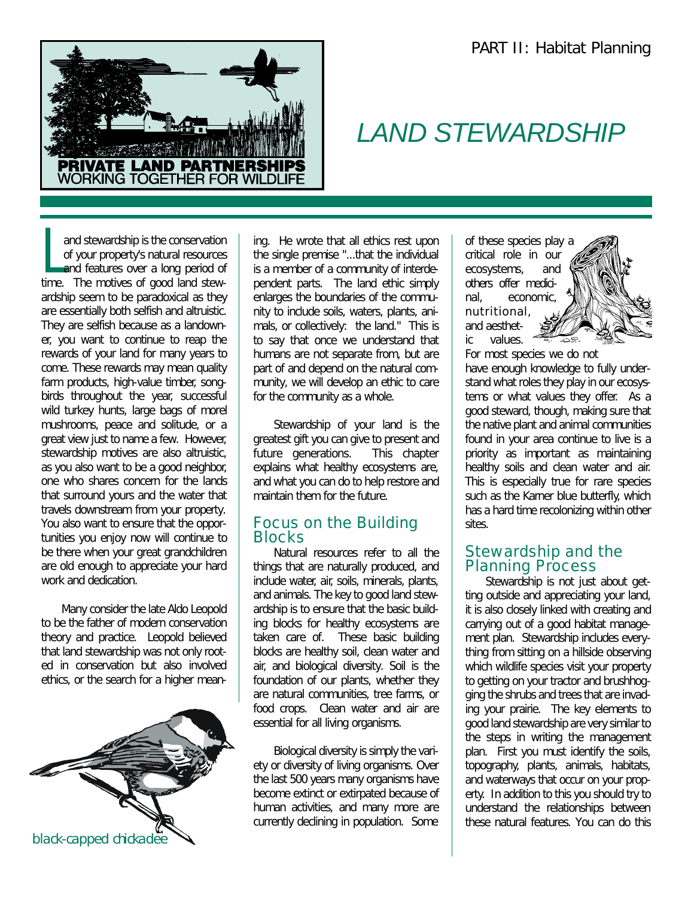

## *LAND STEWARDSHIP*

and stewardship is the conservation<br>of your property's natural resources<br>and features over a long period of and stewardship is the conservation of your property's natural resources time. The motives of good land stewardship seem to be paradoxical as they are essentially both selfish and altruistic. They are selfish because as a landowner, you want to continue to reap the rewards of your land for many years to come. These rewards may mean quality farm products, high-value timber, songbirds throughout the year, successful wild turkey hunts, large bags of morel mushrooms, peace and solitude, or a great view just to name a few. However, stewardship motives are also altruistic, as you also want to be a good neighbor, one who shares concern for the lands that surround yours and the water that travels downstream from your property. You also want to ensure that the opportunities you enjoy now will continue to be there when your great grandchildren are old enough to appreciate your hard work and dedication.

Many consider the late Aldo Leopold to be the father of modern conservation theory and practice. Leopold believed that land stewardship was not only rooted in conservation but also involved ethics, or the search for a higher mean-



ing. He wrote that all ethics rest upon the single premise "...that the individual is a member of a community of interdependent parts. The land ethic simply enlarges the boundaries of the community to include soils, waters, plants, animals, or collectively: the land." This is to say that once we understand that humans are not separate from, but are part of and depend on the natural community, we will develop an ethic to care for the community as a whole.

Stewardship of your land is the greatest gift you can give to present and future generations. This chapter explains what healthy ecosystems are, and what you can do to help restore and maintain them for the future.

#### Focus on the Building **Blocks**

Natural resources refer to all the things that are naturally produced, and include water, air, soils, minerals, plants, and animals. The key to good land stewardship is to ensure that the basic building blocks for healthy ecosystems are taken care of. These basic building blocks are healthy soil, clean water and air, and biological diversity. Soil is the foundation of our plants, whether they are natural communities, tree farms, or food crops. Clean water and air are essential for all living organisms.

Biological diversity is simply the variety or diversity of living organisms. Over the last 500 years many organisms have become extinct or extirpated because of human activities, and many more are currently declining in population. Some of these species play a critical role in our ecosystems, and others offer medicinal, economic, nutritional, and aesthetic values.



For most species we do not have enough knowledge to fully understand what roles they play in our ecosystems or what values they offer. As a good steward, though, making sure that the native plant and animal communities found in your area continue to live is a priority as important as maintaining healthy soils and clean water and air. This is especially true for rare species such as the Karner blue butterfly, which has a hard time recolonizing within other sites.

#### Stewardship and the Planning Process

Stewardship is not just about getting outside and appreciating your land, it is also closely linked with creating and carrying out of a good habitat management plan. Stewardship includes everything from sitting on a hillside observing which wildlife species visit your property to getting on your tractor and brushhogging the shrubs and trees that are invading your prairie. The key elements to good land stewardship are very similar to the steps in writing the management plan. First you must identify the soils, topography, plants, animals, habitats, and waterways that occur on your property. In addition to this you should try to understand the relationships between these natural features. You can do this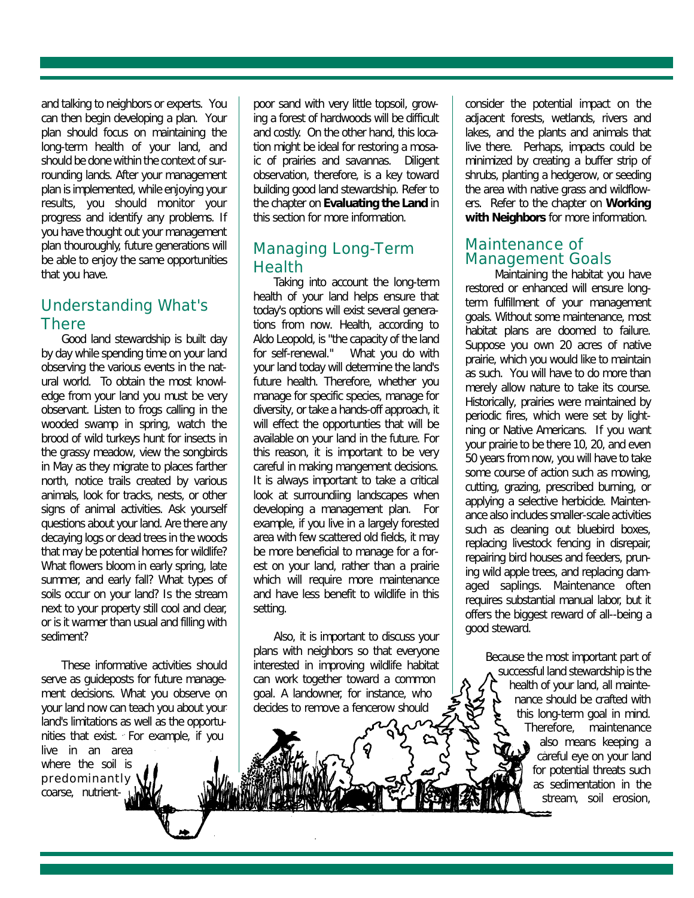and talking to neighbors or experts. You can then begin developing a plan. Your plan should focus on maintaining the long-term health of your land, and should be done within the context of surrounding lands. After your management plan is implemented, while enjoying your results, you should monitor your progress and identify any problems. If you have thought out your management plan thouroughly, future generations will be able to enjoy the same opportunities that you have.

### Understanding What's **There**

Good land stewardship is built day by day while spending time on your land observing the various events in the natural world. To obtain the most knowledge from your land you must be very observant. Listen to frogs calling in the wooded swamp in spring, watch the brood of wild turkeys hunt for insects in the grassy meadow, view the songbirds in May as they migrate to places farther north, notice trails created by various animals, look for tracks, nests, or other signs of animal activities. Ask yourself questions about your land. Are there any decaying logs or dead trees in the woods that may be potential homes for wildlife? What flowers bloom in early spring, late summer, and early fall? What types of soils occur on your land? Is the stream next to your property still cool and clear, or is it warmer than usual and filling with sediment?

These informative activities should serve as guideposts for future management decisions. What you observe on your land now can teach you about your land's limitations as well as the opportunities that exist. For example, if you live in an area where the soil is predominantly coarse, nutrientpoor sand with very little topsoil, growing a forest of hardwoods will be difficult and costly. On the other hand, this location might be ideal for restoring a mosaic of prairies and savannas. Diligent observation, therefore, is a key toward building good land stewardship. Refer to the chapter on **Evaluating the Land** in this section for more information.

#### Managing Long-Term Health

Taking into account the long-term health of your land helps ensure that today's options will exist several generations from now. Health, according to Aldo Leopold, is "the capacity of the land for self-renewal." What you do with your land today will determine the land's future health. Therefore, whether you manage for specific species, manage for diversity, or take a hands-off approach, it will effect the opportunties that will be available on your land in the future. For this reason, it is important to be very careful in making mangement decisions. It is always important to take a critical look at surroundiing landscapes when developing a management plan. For example, if you live in a largely forested area with few scattered old fields, it may be more beneficial to manage for a forest on your land, rather than a prairie which will require more maintenance and have less benefit to wildlife in this setting.

Also, it is important to discuss your plans with neighbors so that everyone interested in improving wildlife habitat can work together toward a common goal. A landowner, for instance, who decides to remove a fencerow should

consider the potential impact on the adjacent forests, wetlands, rivers and lakes, and the plants and animals that live there. Perhaps, impacts could be minimized by creating a buffer strip of shrubs, planting a hedgerow, or seeding the area with native grass and wildflowers. Refer to the chapter on **Working with Neighbors** for more information.

#### Maintenance of Management Goals

Maintaining the habitat you have restored or enhanced will ensure longterm fulfillment of your management goals. Without some maintenance, most habitat plans are doomed to failure. Suppose you own 20 acres of native prairie, which you would like to maintain as such. You will have to do more than merely allow nature to take its course. Historically, prairies were maintained by periodic fires, which were set by lightning or Native Americans. If you want your prairie to be there 10, 20, and even 50 years from now, you will have to take some course of action such as mowing, cutting, grazing, prescribed burning, or applying a selective herbicide. Maintenance also includes smaller-scale activities such as cleaning out bluebird boxes, replacing livestock fencing in disrepair, repairing bird houses and feeders, pruning wild apple trees, and replacing damaged saplings. Maintenance often requires substantial manual labor, but it offers the biggest reward of all--being a good steward.

> Because the most important part of successful land stewardship is the health of your land, all maintenance should be crafted with this long-term goal in mind. Therefore, maintenance also means keeping a careful eye on your land for potential threats such as sedimentation in the stream, soil erosion,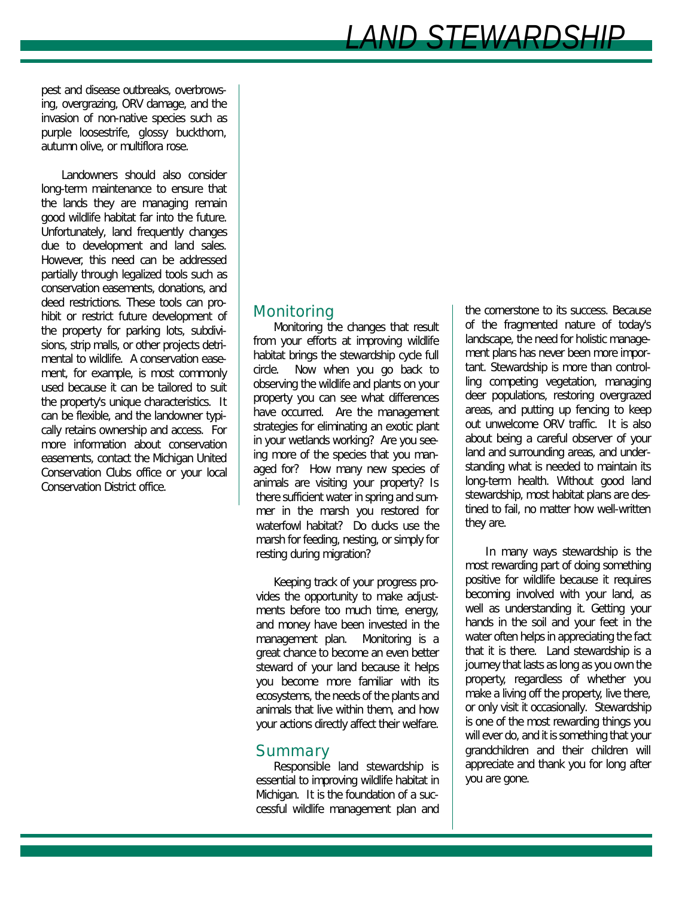*LAND STEWARDSHIP*

pest and disease outbreaks, overbrowsing, overgrazing, ORV damage, and the invasion of non-native species such as purple loosestrife, glossy buckthorn, autumn olive, or multiflora rose.

Landowners should also consider long-term maintenance to ensure that the lands they are managing remain good wildlife habitat far into the future. Unfortunately, land frequently changes due to development and land sales. However, this need can be addressed partially through legalized tools such as conservation easements, donations, and deed restrictions. These tools can prohibit or restrict future development of the property for parking lots, subdivisions, strip malls, or other projects detrimental to wildlife. A conservation easement, for example, is most commonly used because it can be tailored to suit the property's unique characteristics. It can be flexible, and the landowner typically retains ownership and access. For more information about conservation easements, contact the Michigan United Conservation Clubs office or your local Conservation District office.

#### **Monitoring**

Monitoring the changes that result from your efforts at improving wildlife habitat brings the stewardship cycle full circle. Now when you go back to observing the wildlife and plants on your property you can see what differences have occurred. Are the management strategies for eliminating an exotic plant in your wetlands working? Are you seeing more of the species that you managed for? How many new species of animals are visiting your property? Is there sufficient water in spring and summer in the marsh you restored for waterfowl habitat? Do ducks use the marsh for feeding, nesting, or simply for resting during migration?

Keeping track of your progress provides the opportunity to make adjustments before too much time, energy, and money have been invested in the management plan. Monitoring is a great chance to become an even better steward of your land because it helps you become more familiar with its ecosystems, the needs of the plants and animals that live within them, and how your actions directly affect their welfare.

#### Summary

Responsible land stewardship is essential to improving wildlife habitat in Michigan. It is the foundation of a successful wildlife management plan and

the cornerstone to its success. Because of the fragmented nature of today's landscape, the need for holistic management plans has never been more important. Stewardship is more than controlling competing vegetation, managing deer populations, restoring overgrazed areas, and putting up fencing to keep out unwelcome ORV traffic. It is also about being a careful observer of your land and surrounding areas, and understanding what is needed to maintain its long-term health. Without good land stewardship, most habitat plans are destined to fail, no matter how well-written they are.

In many ways stewardship is the most rewarding part of doing something positive for wildlife because it requires becoming involved with your land, as well as understanding it. Getting your hands in the soil and your feet in the water often helps in appreciating the fact that it is there. Land stewardship is a journey that lasts as long as you own the property, regardless of whether you make a living off the property, live there, or only visit it occasionally. Stewardship is one of the most rewarding things you will ever do, and it is something that your grandchildren and their children will appreciate and thank you for long after you are gone.